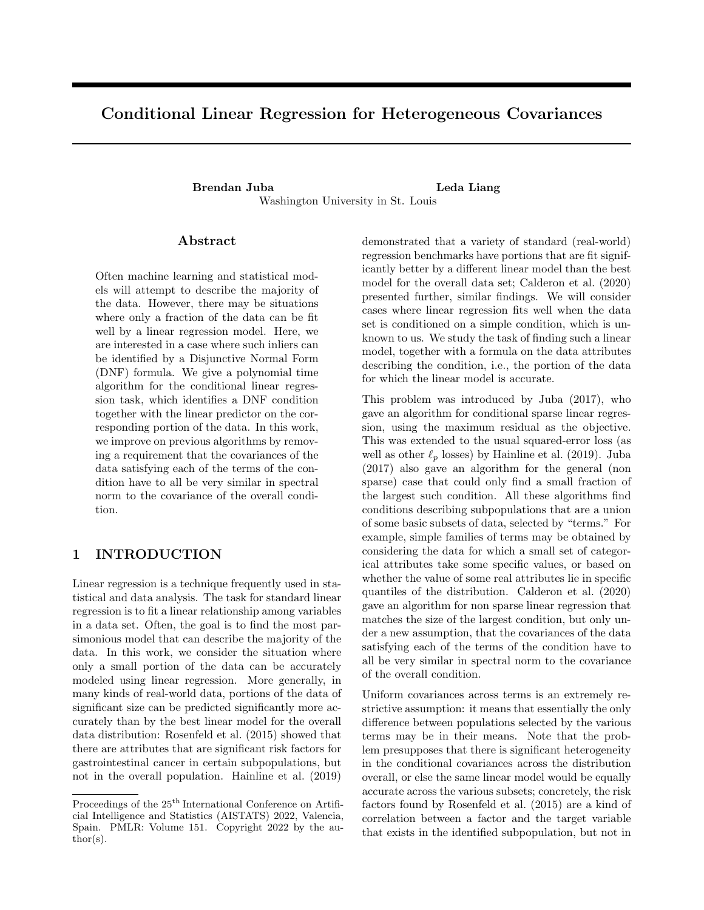# Conditional Linear Regression for Heterogeneous Covariances

Brendan Juba **Leda Liang** Washington University in St. Louis

### Abstract

Often machine learning and statistical models will attempt to describe the majority of the data. However, there may be situations where only a fraction of the data can be fit well by a linear regression model. Here, we are interested in a case where such inliers can be identified by a Disjunctive Normal Form (DNF) formula. We give a polynomial time algorithm for the conditional linear regression task, which identifies a DNF condition together with the linear predictor on the corresponding portion of the data. In this work, we improve on previous algorithms by removing a requirement that the covariances of the data satisfying each of the terms of the condition have to all be very similar in spectral norm to the covariance of the overall condition.

# 1 INTRODUCTION

Linear regression is a technique frequently used in statistical and data analysis. The task for standard linear regression is to fit a linear relationship among variables in a data set. Often, the goal is to find the most parsimonious model that can describe the majority of the data. In this work, we consider the situation where only a small portion of the data can be accurately modeled using linear regression. More generally, in many kinds of real-world data, portions of the data of significant size can be predicted significantly more accurately than by the best linear model for the overall data distribution: Rosenfeld et al. (2015) showed that there are attributes that are significant risk factors for gastrointestinal cancer in certain subpopulations, but not in the overall population. Hainline et al. (2019)

demonstrated that a variety of standard (real-world) regression benchmarks have portions that are fit significantly better by a different linear model than the best model for the overall data set; Calderon et al. (2020) presented further, similar findings. We will consider cases where linear regression fits well when the data set is conditioned on a simple condition, which is unknown to us. We study the task of finding such a linear model, together with a formula on the data attributes describing the condition, i.e., the portion of the data for which the linear model is accurate.

This problem was introduced by Juba (2017), who gave an algorithm for conditional sparse linear regression, using the maximum residual as the objective. This was extended to the usual squared-error loss (as well as other  $\ell_p$  losses) by Hainline et al. (2019). Juba (2017) also gave an algorithm for the general (non sparse) case that could only find a small fraction of the largest such condition. All these algorithms find conditions describing subpopulations that are a union of some basic subsets of data, selected by "terms." For example, simple families of terms may be obtained by considering the data for which a small set of categorical attributes take some specific values, or based on whether the value of some real attributes lie in specific quantiles of the distribution. Calderon et al. (2020) gave an algorithm for non sparse linear regression that matches the size of the largest condition, but only under a new assumption, that the covariances of the data satisfying each of the terms of the condition have to all be very similar in spectral norm to the covariance of the overall condition.

Uniform covariances across terms is an extremely restrictive assumption: it means that essentially the only difference between populations selected by the various terms may be in their means. Note that the problem presupposes that there is significant heterogeneity in the conditional covariances across the distribution overall, or else the same linear model would be equally accurate across the various subsets; concretely, the risk factors found by Rosenfeld et al. (2015) are a kind of correlation between a factor and the target variable that exists in the identified subpopulation, but not in

Proceedings of the  $25^{\text{th}}$  International Conference on Artificial Intelligence and Statistics (AISTATS) 2022, Valencia, Spain. PMLR: Volume 151. Copyright 2022 by the au- $\text{thor}(s)$ .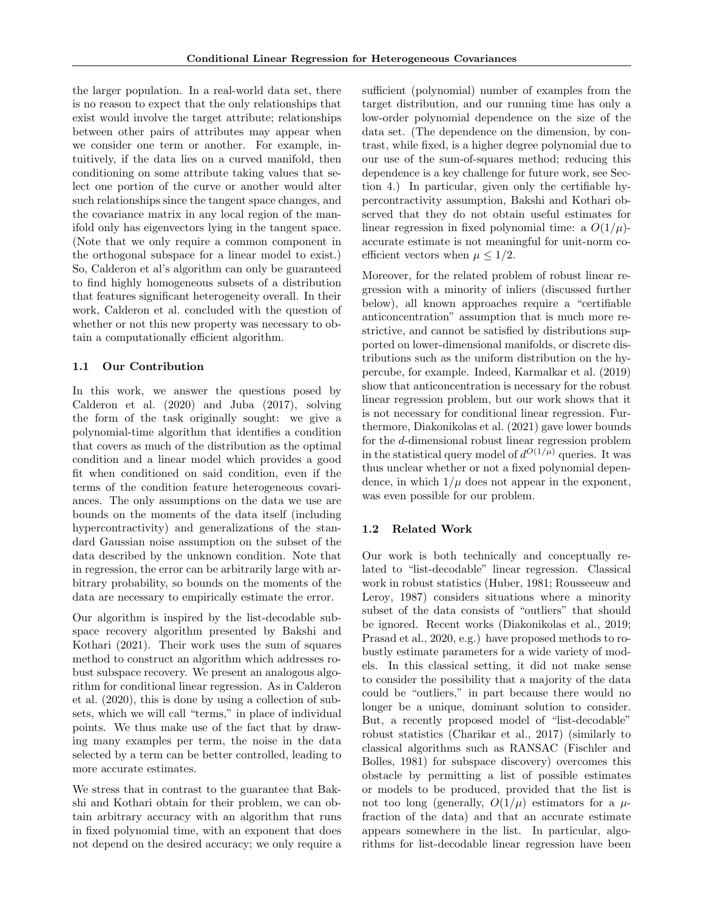the larger population. In a real-world data set, there is no reason to expect that the only relationships that exist would involve the target attribute; relationships between other pairs of attributes may appear when we consider one term or another. For example, intuitively, if the data lies on a curved manifold, then conditioning on some attribute taking values that select one portion of the curve or another would alter such relationships since the tangent space changes, and the covariance matrix in any local region of the manifold only has eigenvectors lying in the tangent space. (Note that we only require a common component in the orthogonal subspace for a linear model to exist.) So, Calderon et al's algorithm can only be guaranteed to find highly homogeneous subsets of a distribution that features significant heterogeneity overall. In their work, Calderon et al. concluded with the question of whether or not this new property was necessary to obtain a computationally efficient algorithm.

### 1.1 Our Contribution

In this work, we answer the questions posed by Calderon et al. (2020) and Juba (2017), solving the form of the task originally sought: we give a polynomial-time algorithm that identifies a condition that covers as much of the distribution as the optimal condition and a linear model which provides a good fit when conditioned on said condition, even if the terms of the condition feature heterogeneous covariances. The only assumptions on the data we use are bounds on the moments of the data itself (including hypercontractivity) and generalizations of the standard Gaussian noise assumption on the subset of the data described by the unknown condition. Note that in regression, the error can be arbitrarily large with arbitrary probability, so bounds on the moments of the data are necessary to empirically estimate the error.

Our algorithm is inspired by the list-decodable subspace recovery algorithm presented by Bakshi and Kothari (2021). Their work uses the sum of squares method to construct an algorithm which addresses robust subspace recovery. We present an analogous algorithm for conditional linear regression. As in Calderon et al. (2020), this is done by using a collection of subsets, which we will call "terms," in place of individual points. We thus make use of the fact that by drawing many examples per term, the noise in the data selected by a term can be better controlled, leading to more accurate estimates.

We stress that in contrast to the guarantee that Bakshi and Kothari obtain for their problem, we can obtain arbitrary accuracy with an algorithm that runs in fixed polynomial time, with an exponent that does not depend on the desired accuracy; we only require a sufficient (polynomial) number of examples from the target distribution, and our running time has only a low-order polynomial dependence on the size of the data set. (The dependence on the dimension, by contrast, while fixed, is a higher degree polynomial due to our use of the sum-of-squares method; reducing this dependence is a key challenge for future work, see Section 4.) In particular, given only the certifiable hypercontractivity assumption, Bakshi and Kothari observed that they do not obtain useful estimates for linear regression in fixed polynomial time: a  $O(1/\mu)$ accurate estimate is not meaningful for unit-norm coefficient vectors when  $\mu \leq 1/2$ .

Moreover, for the related problem of robust linear regression with a minority of inliers (discussed further below), all known approaches require a "certifiable anticoncentration" assumption that is much more restrictive, and cannot be satisfied by distributions supported on lower-dimensional manifolds, or discrete distributions such as the uniform distribution on the hypercube, for example. Indeed, Karmalkar et al. (2019) show that anticoncentration is necessary for the robust linear regression problem, but our work shows that it is not necessary for conditional linear regression. Furthermore, Diakonikolas et al. (2021) gave lower bounds for the d-dimensional robust linear regression problem in the statistical query model of  $d^{O(1/\mu)}$  queries. It was thus unclear whether or not a fixed polynomial dependence, in which  $1/\mu$  does not appear in the exponent, was even possible for our problem.

#### 1.2 Related Work

Our work is both technically and conceptually related to "list-decodable" linear regression. Classical work in robust statistics (Huber, 1981; Rousseeuw and Leroy, 1987) considers situations where a minority subset of the data consists of "outliers" that should be ignored. Recent works (Diakonikolas et al., 2019; Prasad et al., 2020, e.g.) have proposed methods to robustly estimate parameters for a wide variety of models. In this classical setting, it did not make sense to consider the possibility that a majority of the data could be "outliers," in part because there would no longer be a unique, dominant solution to consider. But, a recently proposed model of "list-decodable" robust statistics (Charikar et al., 2017) (similarly to classical algorithms such as RANSAC (Fischler and Bolles, 1981) for subspace discovery) overcomes this obstacle by permitting a list of possible estimates or models to be produced, provided that the list is not too long (generally,  $O(1/\mu)$  estimators for a  $\mu$ fraction of the data) and that an accurate estimate appears somewhere in the list. In particular, algorithms for list-decodable linear regression have been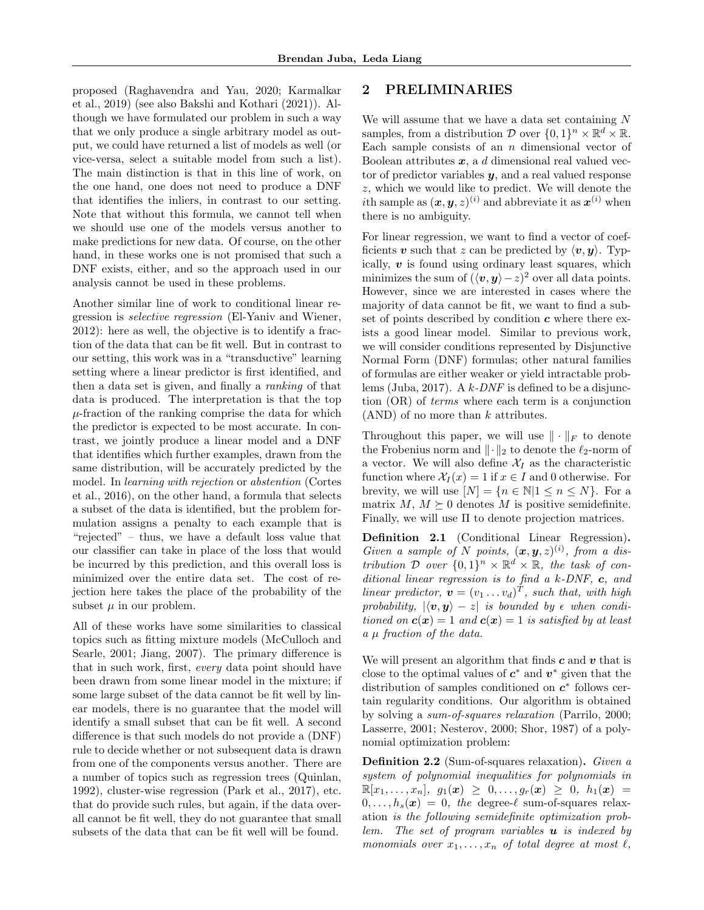proposed (Raghavendra and Yau, 2020; Karmalkar et al., 2019) (see also Bakshi and Kothari (2021)). Although we have formulated our problem in such a way that we only produce a single arbitrary model as output, we could have returned a list of models as well (or vice-versa, select a suitable model from such a list). The main distinction is that in this line of work, on the one hand, one does not need to produce a DNF that identifies the inliers, in contrast to our setting. Note that without this formula, we cannot tell when we should use one of the models versus another to make predictions for new data. Of course, on the other hand, in these works one is not promised that such a DNF exists, either, and so the approach used in our analysis cannot be used in these problems.

Another similar line of work to conditional linear regression is selective regression (El-Yaniv and Wiener, 2012): here as well, the objective is to identify a fraction of the data that can be fit well. But in contrast to our setting, this work was in a "transductive" learning setting where a linear predictor is first identified, and then a data set is given, and finally a ranking of that data is produced. The interpretation is that the top  $\mu$ -fraction of the ranking comprise the data for which the predictor is expected to be most accurate. In contrast, we jointly produce a linear model and a DNF that identifies which further examples, drawn from the same distribution, will be accurately predicted by the model. In learning with rejection or abstention (Cortes et al., 2016), on the other hand, a formula that selects a subset of the data is identified, but the problem formulation assigns a penalty to each example that is "rejected" – thus, we have a default loss value that our classifier can take in place of the loss that would be incurred by this prediction, and this overall loss is minimized over the entire data set. The cost of rejection here takes the place of the probability of the subset  $\mu$  in our problem.

All of these works have some similarities to classical topics such as fitting mixture models (McCulloch and Searle, 2001; Jiang, 2007). The primary difference is that in such work, first, every data point should have been drawn from some linear model in the mixture; if some large subset of the data cannot be fit well by linear models, there is no guarantee that the model will identify a small subset that can be fit well. A second difference is that such models do not provide a (DNF) rule to decide whether or not subsequent data is drawn from one of the components versus another. There are a number of topics such as regression trees (Quinlan, 1992), cluster-wise regression (Park et al., 2017), etc. that do provide such rules, but again, if the data overall cannot be fit well, they do not guarantee that small subsets of the data that can be fit well will be found.

# 2 PRELIMINARIES

We will assume that we have a data set containing  $N$ samples, from a distribution  $\mathcal D$  over  $\{0,1\}^n \times \mathbb{R}^d \times \mathbb{R}$ . Each sample consists of an  $n$  dimensional vector of Boolean attributes  $x$ , a d dimensional real valued vector of predictor variables  $y$ , and a real valued response z, which we would like to predict. We will denote the *i*th sample as  $(x, y, z)^{(i)}$  and abbreviate it as  $x^{(i)}$  when there is no ambiguity.

For linear regression, we want to find a vector of coefficients v such that z can be predicted by  $\langle v, y \rangle$ . Typically,  $\boldsymbol{v}$  is found using ordinary least squares, which minimizes the sum of  $({\langle v, y \rangle} - z)^2$  over all data points. However, since we are interested in cases where the majority of data cannot be fit, we want to find a subset of points described by condition  $c$  where there exists a good linear model. Similar to previous work, we will consider conditions represented by Disjunctive Normal Form (DNF) formulas; other natural families of formulas are either weaker or yield intractable problems (Juba, 2017). A  $k$ -DNF is defined to be a disjunction (OR) of terms where each term is a conjunction  $(AND)$  of no more than k attributes.

Throughout this paper, we will use  $\|\cdot\|_F$  to denote the Frobenius norm and  $\|\cdot\|_2$  to denote the  $\ell_2$ -norm of a vector. We will also define  $\mathcal{X}_I$  as the characteristic function where  $\mathcal{X}_I(x) = 1$  if  $x \in I$  and 0 otherwise. For brevity, we will use  $[N] = \{n \in \mathbb{N} | 1 \le n \le N\}$ . For a matrix  $M, M \succeq 0$  denotes M is positive semidefinite. Finally, we will use Π to denote projection matrices.

Definition 2.1 (Conditional Linear Regression). Given a sample of N points,  $(x, y, z)^{(i)}$ , from a distribution D over  $\{0,1\}^n \times \mathbb{R}^d \times \mathbb{R}$ , the task of conditional linear regression is to find a  $k$ -DNF,  $c$ , and linear predictor,  $\mathbf{v} = (v_1 \dots v_d)^T$ , such that, with high probability,  $|\langle v, y \rangle - z|$  is bounded by  $\epsilon$  when conditioned on  $c(x) = 1$  and  $c(x) = 1$  is satisfied by at least  $a \mu$  fraction of the data.

We will present an algorithm that finds  $c$  and  $v$  that is close to the optimal values of  $c^*$  and  $v^*$  given that the distribution of samples conditioned on  $c^*$  follows certain regularity conditions. Our algorithm is obtained by solving a sum-of-squares relaxation (Parrilo, 2000; Lasserre, 2001; Nesterov, 2000; Shor, 1987) of a polynomial optimization problem:

Definition 2.2 (Sum-of-squares relaxation). Given a system of polynomial inequalities for polynomials in  $\mathbb{R}[x_1, \ldots, x_n], g_1(\bm{x}) \geq 0, \ldots, g_r(\bm{x}) \geq 0, h_1(\bm{x}) =$  $0, \ldots, h_s(x) = 0$ , the degree- $\ell$  sum-of-squares relaxation is the following semidefinite optimization problem. The set of program variables  $\boldsymbol{u}$  is indexed by monomials over  $x_1, \ldots, x_n$  of total degree at most  $\ell$ ,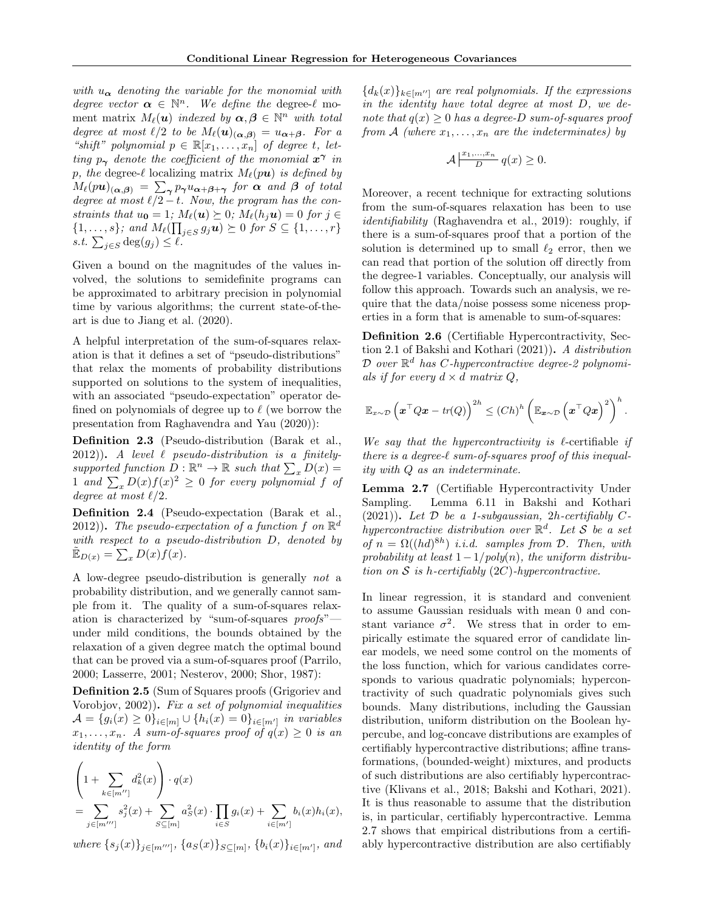with  $u_{\alpha}$  denoting the variable for the monomial with degree vector  $\alpha \in \mathbb{N}^n$ . We define the degree- $\ell$  moment matrix  $M_{\ell}(\boldsymbol{u})$  indexed by  $\boldsymbol{\alpha}, \boldsymbol{\beta} \in \mathbb{N}^n$  with total degree at most  $\ell/2$  to be  $M_{\ell}(u)_{(\alpha,\beta)} = u_{\alpha+\beta}$ . For a "shift" polynomial  $p \in \mathbb{R}[x_1, \ldots, x_n]$  of degree t, letting  $p_{\gamma}$  denote the coefficient of the monomial  $x^{\gamma}$  in p, the degree- $\ell$  localizing matrix  $M_{\ell}(p\mathbf{u})$  is defined by  $M_{\ell}(p\bm{u})_{(\bm{\alpha},\bm{\beta})} \ = \ \sum_{\bm{\gamma}} p_{\bm{\gamma}} u_{\bm{\alpha}+\bm{\beta}+\bm{\gamma}} \ \ \textit{for} \ \ \bm{\alpha} \ \ \textit{and} \ \ \bm{\beta} \ \ \textit{of total}$ degree at most  $\ell/2 - t$ . Now, the program has the constraints that  $u_0 = 1$ ;  $M_\ell(\mathbf{u}) \succeq 0$ ;  $M_\ell(h_j\mathbf{u}) = 0$  for  $j \in$  $\{1, \ldots, s\}$ ; and  $M_{\ell}(\prod_{j \in S} g_j \boldsymbol{u}) \succeq 0$  for  $S \subseteq \{1, \ldots, r\}$ *s.t.*  $\sum_{j \in S} \deg(g_j) \leq \ell$ .

Given a bound on the magnitudes of the values involved, the solutions to semidefinite programs can be approximated to arbitrary precision in polynomial time by various algorithms; the current state-of-theart is due to Jiang et al. (2020).

A helpful interpretation of the sum-of-squares relaxation is that it defines a set of "pseudo-distributions" that relax the moments of probability distributions supported on solutions to the system of inequalities, with an associated "pseudo-expectation" operator defined on polynomials of degree up to  $\ell$  (we borrow the presentation from Raghavendra and Yau (2020)):

Definition 2.3 (Pseudo-distribution (Barak et al.,  $2012)$ ). A level  $\ell$  pseudo-distribution is a finitelysupported function  $\overline{D}: \mathbb{R}^n \to \mathbb{R}$  such that  $\sum_x D(x) =$ 1 and  $\sum_{x} D(x)f(x)^{2} \ge 0$  for every polynomial f of degree at most  $\ell/2$ .

Definition 2.4 (Pseudo-expectation (Barak et al., 2012)). The pseudo-expectation of a function f on  $\mathbb{R}^d$ with respect to a pseudo-distribution D, denoted by  $\tilde{\mathbb{E}}_{D(x)} = \sum_x D(x) f(x).$ 

A low-degree pseudo-distribution is generally not a probability distribution, and we generally cannot sample from it. The quality of a sum-of-squares relaxation is characterized by "sum-of-squares proofs" under mild conditions, the bounds obtained by the relaxation of a given degree match the optimal bound that can be proved via a sum-of-squares proof (Parrilo, 2000; Lasserre, 2001; Nesterov, 2000; Shor, 1987):

Definition 2.5 (Sum of Squares proofs (Grigoriev and Vorobjov, 2002)). Fix a set of polynomial inequalities  $\mathcal{A} = \{g_i(x) \geq 0\}_{i \in [m]} \cup \{h_i(x) = 0\}_{i \in [m']}$  in variables  $x_1, \ldots, x_n$ . A sum-of-squares proof of  $q(x) \geq 0$  is an identity of the form

$$
\left(1 + \sum_{k \in [m'']} d_k^2(x)\right) \cdot q(x)
$$
  
= 
$$
\sum_{j \in [m''']} s_j^2(x) + \sum_{S \subseteq [m]} a_S^2(x) \cdot \prod_{i \in S} g_i(x) + \sum_{i \in [m']} b_i(x)h_i(x),
$$

where  $\{s_j(x)\}_{j\in[m''']}$ ,  $\{a_S(x)\}_{S\subseteq[m]}$ ,  $\{b_i(x)\}_{i\in[m']}$ , and

 ${d_k(x)}_{k \in [m'']}$  are real polynomials. If the expressions in the identity have total degree at most D, we denote that  $q(x) \geq 0$  has a degree-D sum-of-squares proof from A (where  $x_1, \ldots, x_n$  are the indeterminates) by

$$
\mathcal{A}\left| \frac{x_1,...,x_n}{D} q(x) \ge 0.
$$

Moreover, a recent technique for extracting solutions from the sum-of-squares relaxation has been to use identifiability (Raghavendra et al., 2019): roughly, if there is a sum-of-squares proof that a portion of the solution is determined up to small  $\ell_2$  error, then we can read that portion of the solution off directly from the degree-1 variables. Conceptually, our analysis will follow this approach. Towards such an analysis, we require that the data/noise possess some niceness properties in a form that is amenable to sum-of-squares:

Definition 2.6 (Certifiable Hypercontractivity, Section 2.1 of Bakshi and Kothari (2021)). A distribution  $\mathcal D$  over  $\mathbb R^d$  has C-hypercontractive degree-2 polynomials if for every  $d \times d$  matrix Q,

$$
\mathbb{E}_{x \sim \mathcal{D}}\left(\boldsymbol{x}^\top Q \boldsymbol{x} - \textit{tr}(Q)\right)^{2h} \leq \left( Ch \right)^h \left( \mathbb{E}_{\boldsymbol{x} \sim \mathcal{D}}\left(\boldsymbol{x}^\top Q \boldsymbol{x}\right)^2 \right)^h.
$$

We say that the hypercontractivity is  $\ell$ -certifiable if there is a degree- $\ell$  sum-of-squares proof of this inequality with Q as an indeterminate.

Lemma 2.7 (Certifiable Hypercontractivity Under Sampling. Lemma 6.11 in Bakshi and Kothari  $(2021)$ ). Let  $\mathcal D$  be a 1-subgaussian, 2h-certifiably Chypercontractive distribution over  $\mathbb{R}^d$ . Let S be a set of  $n = \Omega((hd)^{8h})$  i.i.d. samples from  $\mathcal{D}$ . Then, with probability at least  $1-\frac{1}{poly(n)}$ , the uniform distribution on S is h-certifiably  $(2C)$ -hypercontractive.

In linear regression, it is standard and convenient to assume Gaussian residuals with mean 0 and constant variance  $\sigma^2$ . We stress that in order to empirically estimate the squared error of candidate linear models, we need some control on the moments of the loss function, which for various candidates corresponds to various quadratic polynomials; hypercontractivity of such quadratic polynomials gives such bounds. Many distributions, including the Gaussian distribution, uniform distribution on the Boolean hypercube, and log-concave distributions are examples of certifiably hypercontractive distributions; affine transformations, (bounded-weight) mixtures, and products of such distributions are also certifiably hypercontractive (Klivans et al., 2018; Bakshi and Kothari, 2021). It is thus reasonable to assume that the distribution is, in particular, certifiably hypercontractive. Lemma 2.7 shows that empirical distributions from a certifiably hypercontractive distribution are also certifiably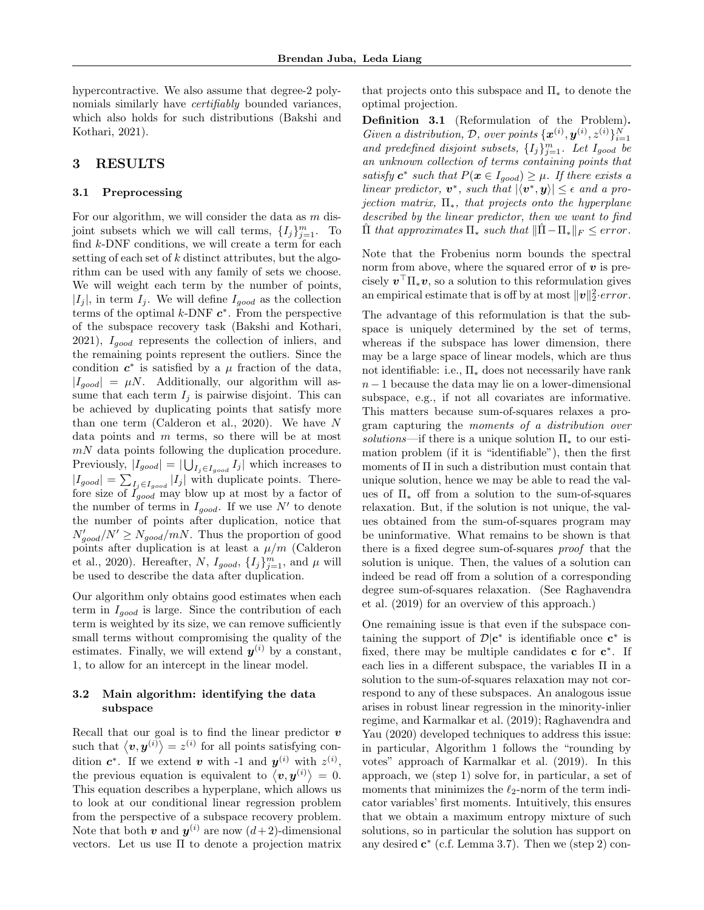hypercontractive. We also assume that degree-2 polynomials similarly have *certifiably* bounded variances, which also holds for such distributions (Bakshi and Kothari, 2021).

## 3 RESULTS

#### 3.1 Preprocessing

For our algorithm, we will consider the data as m disjoint subsets which we will call terms,  $\{I_j\}_{j=1}^m$ . To find k-DNF conditions, we will create a term for each setting of each set of  $k$  distinct attributes, but the algorithm can be used with any family of sets we choose. We will weight each term by the number of points,  $|I_j|$ , in term  $I_j$ . We will define  $I_{good}$  as the collection terms of the optimal  $k$ -DNF  $c^*$ . From the perspective of the subspace recovery task (Bakshi and Kothari,  $2021$ ),  $I_{qood}$  represents the collection of inliers, and the remaining points represent the outliers. Since the condition  $c^*$  is satisfied by a  $\mu$  fraction of the data,  $|I_{good}| = \mu N$ . Additionally, our algorithm will assume that each term  $I_j$  is pairwise disjoint. This can be achieved by duplicating points that satisfy more than one term (Calderon et al., 2020). We have  $N$ data points and  $m$  terms, so there will be at most  $mN$  data points following the duplication procedure. Previously,  $|I_{good}| = |\bigcup_{I_j \in I_{good}} I_j|$  which increases to  $|I_{good}| = \sum_{I_j \in I_{good}} |I_j|$  with duplicate points. Therefore size of  $I_{good}$  may blow up at most by a factor of the number of terms in  $I_{good}$ . If we use N' to denote the number of points after duplication, notice that  $N_{good}^{\prime}/N^{\prime} \ge N_{good}/mN$ . Thus the proportion of good points after duplication is at least a  $\mu/m$  (Calderon et al., 2020). Hereafter, N,  $I_{good}$ ,  $\{I_j\}_{j=1}^m$ , and  $\mu$  will be used to describe the data after duplication.

Our algorithm only obtains good estimates when each term in  $I_{good}$  is large. Since the contribution of each term is weighted by its size, we can remove sufficiently small terms without compromising the quality of the estimates. Finally, we will extend  $y^{(i)}$  by a constant, 1, to allow for an intercept in the linear model.

# 3.2 Main algorithm: identifying the data subspace

Recall that our goal is to find the linear predictor  $\boldsymbol{v}$ such that  $\langle v, y^{(i)} \rangle = z^{(i)}$  for all points satisfying condition  $c^*$ . If we extend v with -1 and  $y^{(i)}$  with  $z^{(i)}$ , the previous equation is equivalent to  $\langle v, y^{(i)} \rangle = 0$ . This equation describes a hyperplane, which allows us to look at our conditional linear regression problem from the perspective of a subspace recovery problem. Note that both  $v$  and  $y^{(i)}$  are now  $(d+2)$ -dimensional vectors. Let us use Π to denote a projection matrix

that projects onto this subspace and  $\Pi_*$  to denote the optimal projection.

Definition 3.1 (Reformulation of the Problem). Given a distribution, D, over points  $\{\boldsymbol{x}^{(i)}, \boldsymbol{y}^{(i)}, z^{(i)}\}_{i=1}^N$ and predefined disjoint subsets,  $\{I_j\}_{j=1}^m$ . Let  $I_{good}$  be an unknown collection of terms containing points that satisfy  $c^*$  such that  $P(x \in I_{good}) \geq \mu$ . If there exists a linear predictor,  $v^*$ , such that  $|\langle v^*, y \rangle| \leq \epsilon$  and a projection matrix,  $\Pi_*$ , that projects onto the hyperplane described by the linear predictor, then we want to find  $\Pi$  that approximates  $\Pi_*$  such that  $\|\Pi - \Pi_*\|_F \leq error$ .

Note that the Frobenius norm bounds the spectral norm from above, where the squared error of  $v$  is precisely  $v^\top \Pi_* v$ , so a solution to this reformulation gives an empirical estimate that is off by at most  $\|\boldsymbol{v}\|_2^2\cdot error$ .

The advantage of this reformulation is that the subspace is uniquely determined by the set of terms, whereas if the subspace has lower dimension, there may be a large space of linear models, which are thus not identifiable: i.e.,  $\Pi_*$  does not necessarily have rank  $n-1$  because the data may lie on a lower-dimensional subspace, e.g., if not all covariates are informative. This matters because sum-of-squares relaxes a program capturing the moments of a distribution over solutions—if there is a unique solution  $\Pi_*$  to our estimation problem (if it is "identifiable"), then the first moments of Π in such a distribution must contain that unique solution, hence we may be able to read the values of  $\Pi_*$  off from a solution to the sum-of-squares relaxation. But, if the solution is not unique, the values obtained from the sum-of-squares program may be uninformative. What remains to be shown is that there is a fixed degree sum-of-squares proof that the solution is unique. Then, the values of a solution can indeed be read off from a solution of a corresponding degree sum-of-squares relaxation. (See Raghavendra et al. (2019) for an overview of this approach.)

One remaining issue is that even if the subspace containing the support of  $\mathcal{D}|\mathbf{c}^*$  is identifiable once  $\mathbf{c}^*$  is fixed, there may be multiple candidates  $c$  for  $c^*$ . If each lies in a different subspace, the variables Π in a solution to the sum-of-squares relaxation may not correspond to any of these subspaces. An analogous issue arises in robust linear regression in the minority-inlier regime, and Karmalkar et al. (2019); Raghavendra and Yau (2020) developed techniques to address this issue: in particular, Algorithm 1 follows the "rounding by votes" approach of Karmalkar et al. (2019). In this approach, we (step 1) solve for, in particular, a set of moments that minimizes the  $\ell_2$ -norm of the term indicator variables' first moments. Intuitively, this ensures that we obtain a maximum entropy mixture of such solutions, so in particular the solution has support on any desired  $\mathbf{c}^*$  (c.f. Lemma 3.7). Then we (step 2) con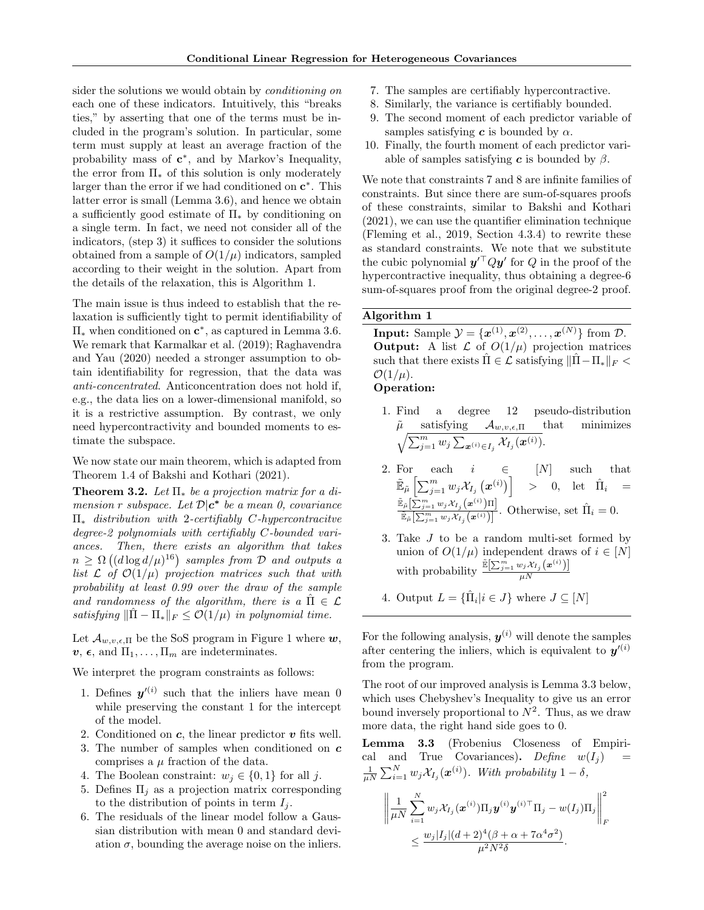sider the solutions we would obtain by *conditioning on* each one of these indicators. Intuitively, this "breaks ties," by asserting that one of the terms must be included in the program's solution. In particular, some term must supply at least an average fraction of the probability mass of  $c^*$ , and by Markov's Inequality, the error from  $\Pi_*$  of this solution is only moderately larger than the error if we had conditioned on  $c^*$ . This latter error is small (Lemma 3.6), and hence we obtain a sufficiently good estimate of  $\Pi_*$  by conditioning on a single term. In fact, we need not consider all of the indicators, (step 3) it suffices to consider the solutions obtained from a sample of  $O(1/\mu)$  indicators, sampled according to their weight in the solution. Apart from the details of the relaxation, this is Algorithm 1.

The main issue is thus indeed to establish that the relaxation is sufficiently tight to permit identifiability of  $\Pi_*$  when conditioned on  $\mathbf{c}^*$ , as captured in Lemma 3.6. We remark that Karmalkar et al. (2019); Raghavendra and Yau (2020) needed a stronger assumption to obtain identifiability for regression, that the data was anti-concentrated. Anticoncentration does not hold if, e.g., the data lies on a lower-dimensional manifold, so it is a restrictive assumption. By contrast, we only need hypercontractivity and bounded moments to estimate the subspace.

We now state our main theorem, which is adapted from Theorem 1.4 of Bakshi and Kothari (2021).

**Theorem 3.2.** Let  $\Pi_*$  be a projection matrix for a dimension r subspace. Let  $\mathcal{D}|\mathbf{c}^*$  be a mean 0, covariance  $\Pi_*$  distribution with 2-certifiably C-hypercontracitve degree-2 polynomials with certifiably C-bounded variances. Then, there exists an algorithm that takes  $n \geq \Omega\left((d\log d/\mu)^{16}\right)$  samples from  $\mathcal D$  and outputs a list  $\mathcal L$  of  $\mathcal O(1/\mu)$  projection matrices such that with probability at least 0.99 over the draw of the sample and randomness of the algorithm, there is a  $\Pi \in \mathcal{L}$ satisfying  $\|\Pi - \Pi_{*}\|_{F} \leq \mathcal{O}(1/\mu)$  in polynomial time.

Let  $\mathcal{A}_{w,v,\epsilon,\Pi}$  be the SoS program in Figure 1 where  $w$ ,  $v, \epsilon$ , and  $\Pi_1, \ldots, \Pi_m$  are indeterminates.

We interpret the program constraints as follows:

- 1. Defines  $y^{\prime(i)}$  such that the inliers have mean 0 while preserving the constant 1 for the intercept of the model.
- 2. Conditioned on  $c$ , the linear predictor  $v$  fits well.
- 3. The number of samples when conditioned on c comprises a  $\mu$  fraction of the data.
- 4. The Boolean constraint:  $w_i \in \{0,1\}$  for all j.
- 5. Defines  $\Pi_j$  as a projection matrix corresponding to the distribution of points in term  $I_i$ .
- 6. The residuals of the linear model follow a Gaussian distribution with mean 0 and standard deviation  $\sigma$ , bounding the average noise on the inliers.
- 7. The samples are certifiably hypercontractive.
- 8. Similarly, the variance is certifiably bounded.
- 9. The second moment of each predictor variable of samples satisfying  $c$  is bounded by  $\alpha$ .
- 10. Finally, the fourth moment of each predictor variable of samples satisfying c is bounded by  $\beta$ .

We note that constraints 7 and 8 are infinite families of constraints. But since there are sum-of-squares proofs of these constraints, similar to Bakshi and Kothari (2021), we can use the quantifier elimination technique (Fleming et al., 2019, Section 4.3.4) to rewrite these as standard constraints. We note that we substitute the cubic polynomial  $y'^\top Qy'$  for Q in the proof of the hypercontractive inequality, thus obtaining a degree-6 sum-of-squares proof from the original degree-2 proof.

## Algorithm 1

**Input:** Sample  $\mathcal{Y} = {\mathbf{x}^{(1)}, \mathbf{x}^{(2)}, \dots, \mathbf{x}^{(N)}}$  from  $\mathcal{D}$ . **Output:** A list  $\mathcal{L}$  of  $O(1/\mu)$  projection matrices such that there exists  $\Pi \in \mathcal{L}$  satisfying  $\|\Pi - \Pi_*\|_F$  $\mathcal{O}(1/\mu)$ .

### Operation:

- 1. Find a degree 12 pseudo-distribution  $\tilde{\mu} \quad \text{satisfying} \quad \mathcal{A}_{w,v,\epsilon,\Pi} \quad \text{that} \quad \text{minimizes} \ \sqrt{\sum_{j=1}^m w_j \sum_{\bm{x}^{(i)} \in I_j} \mathcal{X}_{I_j}(\bm{x}^{(i)})}.$
- 2. For each  $i \in [N]$  such that  $\tilde{\mathbb{E}}_{\tilde{\mu}}\left[ \sum_{j=1}^m w_j \mathcal{X}_{I_j}\left(\boldsymbol{x}^{(i)}\right) \right] \quad > \quad 0, \quad \mathrm{let} \quad \hat{\Pi}_i \quad =$  $\tilde{\mathbb{E}}_{\tilde{\mu}}\big[\sum_{j=1}^m w_j \mathcal{X}_{I_j}\big(\bm{x}^{(i)}\big)\Pi\big]$  $\frac{\mathbb{E}_{\tilde{\mu}}[\sum_{j=1}^{\infty} w_j \mathcal{X}_{I_j}(\boldsymbol{x}^{(i)})]^{\Pi}]}{\mathbb{E}_{\tilde{\mu}}[\sum_{j=1}^m w_j \mathcal{X}_{I_j}(\boldsymbol{x}^{(i)})]}$ . Otherwise, set  $\hat{\Pi}_i = 0$ .
- 3. Take J to be a random multi-set formed by union of  $O(1/\mu)$  independent draws of  $i \in [N]$ with probability  $\frac{\mathbb{E}[\sum_{j=1}^m w_j \chi_{I_j}(\boldsymbol{x}^{(i)})]}{u_N}$  $\mu N$
- 4. Output  $L = {\hat{\Pi}_i | i \in J}$  where  $J \subseteq [N]$

For the following analysis,  $y^{(i)}$  will denote the samples after centering the inliers, which is equivalent to  $y^{\prime(i)}$ from the program.

The root of our improved analysis is Lemma 3.3 below, which uses Chebyshev's Inequality to give us an error bound inversely proportional to  $N^2$ . Thus, as we draw more data, the right hand side goes to 0.

Lemma 3.3 (Frobenius Closeness of Empirical and True Covariances). Define  $w(I_j)$  $\frac{1}{\mu N} \sum_{i=1}^N w_j \mathcal{X}_{I_j}(\boldsymbol{x}^{(i)})$ . With probability  $1-\delta$ ,

$$
\left\| \frac{1}{\mu N} \sum_{i=1}^N w_j \mathcal{X}_{I_j}(\boldsymbol{x}^{(i)}) \Pi_j \boldsymbol{y}^{(i)} \boldsymbol{y}^{(i)\top} \Pi_j - w(I_j) \Pi_j \right\|_F^2
$$
  

$$
\leq \frac{w_j |I_j| (d+2)^4 (\beta + \alpha + 7\alpha^4 \sigma^2)}{\mu^2 N^2 \delta}.
$$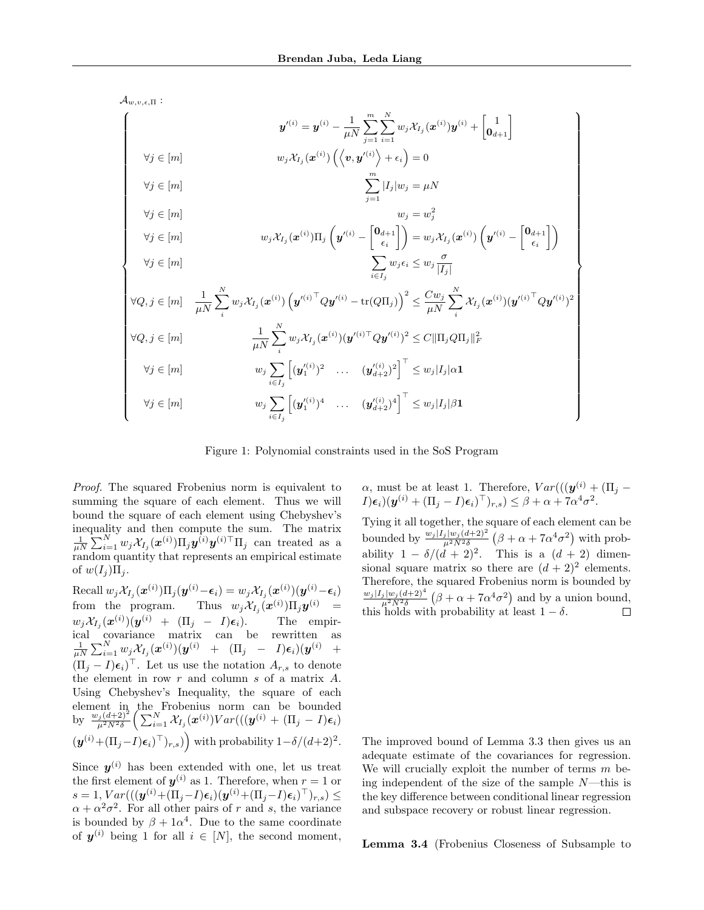$\mathcal{A}_{w,v,\epsilon,\Pi}$  :

|                     | $\bm{y}'^{(i)} = \bm{y}^{(i)} - \frac{1}{\mu N} \sum_{i=1}^{m} \sum_{i=1}^{N} w_j \mathcal{X}_{I_j}(\bm{x}^{(i)}) \bm{y}^{(i)} + \begin{bmatrix} 1 \\ \bm{0}_{d+1} \end{bmatrix}$                                                                                                                                                                        |
|---------------------|----------------------------------------------------------------------------------------------------------------------------------------------------------------------------------------------------------------------------------------------------------------------------------------------------------------------------------------------------------|
| $\forall j \in [m]$ | $\left\langle w_j \mathcal{X}_{I_j}(\boldsymbol{x}^{(i)}) \left( \left\langle \boldsymbol{v}, \boldsymbol{y}'^{(i)} \right\rangle + \epsilon_i \right) \right\rangle = 0.$                                                                                                                                                                               |
| $\forall j \in [m]$ | $\sum  I_j  w_j = \mu N$                                                                                                                                                                                                                                                                                                                                 |
| $\forall j \in [m]$ | $w_i = w_i^2$                                                                                                                                                                                                                                                                                                                                            |
| $\forall j \in [m]$ | $w_j \mathcal{X}_{I_j}(\boldsymbol{x}^{(i)}) \Pi_j \left( \boldsymbol{y}'^{(i)} - \begin{bmatrix} \boldsymbol{0}_{d+1} \ \epsilon_i \end{bmatrix} \right) = w_j \mathcal{X}_{I_j}(\boldsymbol{x}^{(i)}) \left( \boldsymbol{y}'^{(i)} - \begin{bmatrix} \boldsymbol{0}_{d+1} \ \epsilon_i \end{bmatrix} \right)$                                          |
| $\forall j \in [m]$ | $\sum_{i \in I_j} w_j \epsilon_i \leq w_j \frac{\sigma}{ I_j }$                                                                                                                                                                                                                                                                                          |
|                     | $\forall Q,j \in [m] \quad \frac{1}{\mu N} \sum_i^{\cdot \cdot} w_j \mathcal{X}_{I_j}(\boldsymbol{x}^{(i)}) \left( {\boldsymbol{y}'}^{(i)^\top} Q {\boldsymbol{y}'}^{(i)} - \mathrm{tr}(Q \Pi_j) \right)^2 \leq \frac{C w_j}{\mu N} \sum_i^{\cdot N} \mathcal{X}_{I_j}(\boldsymbol{x}^{(i)}) {(\boldsymbol{y}'}^{(i)^\top} Q {\boldsymbol{y}'}^{(i)})^2$ |
| $\forall Q,j\in[m]$ | $\frac{1}{uN}\sum_{i}^{N} w_{j} \mathcal{X}_{I_{j}}(\boldsymbol{x}^{(i)})(\boldsymbol{y}'^{(i)\top} Q \boldsymbol{y}'^{(i)})^{2} \leq C \ \Pi_{j} Q \Pi_{j}\ _{F}^{2}$                                                                                                                                                                                   |
| $\forall j \in [m]$ | $w_j \sum_{i,j} \left[ (\bm{y}_1'^{(i)})^2 \quad \dots \quad (\bm{y}_{d+2}')^2 \right]^{\top} \leq w_j  I_j  \alpha \bm{1}$                                                                                                                                                                                                                              |
| $\forall j \in [m]$ | $w_j \sum \left[ (\bm{y}_1'^{(i)})^4 \quad \dots \quad (\bm{y}_{d+2}')^4 \right]^{\top} \leq w_j  I_j  \beta \bm{1}$                                                                                                                                                                                                                                     |

Figure 1: Polynomial constraints used in the SoS Program

Proof. The squared Frobenius norm is equivalent to summing the square of each element. Thus we will bound the square of each element using Chebyshev's inequality and then compute the sum. The matrix  $\frac{1}{\mu N} \sum_{i=1}^{N} w_j \mathcal{X}_{I_j}(\boldsymbol{x}^{(i)}) \Pi_j \boldsymbol{y}^{(i)} \boldsymbol{y}^{(i)\top} \Pi_j$  can treated as a random quantity that represents an empirical estimate of  $w(I_i)\Pi_i$ .

 $\text{Recall } w_j \mathcal{X}_{I_j}(\boldsymbol{x}^{(i)})\Pi_j(\boldsymbol{y}^{(i)}\!-\!\boldsymbol{\epsilon}_i) = w_j \mathcal{X}_{I_j}(\boldsymbol{x}^{(i)})(\boldsymbol{y}^{(i)}\!-\!\boldsymbol{\epsilon}_i)$ from the program. Thus  $w_j \mathcal{X}_{I_j}(\boldsymbol{x}^{(i)}) \Pi_j \boldsymbol{y}^{(i)} =$  $w_j \mathcal{X}_{I_j}(\boldsymbol{x}^{(i)})(\boldsymbol{y}^{(i)} \ + \ (\Pi_j \ - \ I)\boldsymbol{\epsilon}_i). \qquad \text{The empir-}$  $\text{ical} \quad \text{covariance} \quad \text{matrix} \quad \text{can} \quad \text{be} \quad \text{rewritten} \quad \text{as} \ \frac{1}{\mu N} \sum_{i=1}^N w_j \mathcal{X}_{I_j}(\boldsymbol{x}^{(i)})(\boldsymbol{y}^{(i)} \quad + \quad (\Pi_j \quad - \quad I)\boldsymbol{\epsilon}_i)(\boldsymbol{y}^{(i)} \quad + \quad$  $(\Pi_j - I)\epsilon_i)^\top$ . Let us use the notation  $A_{r,s}$  to denote the element in row r and column s of a matrix A. Using Chebyshev's Inequality, the square of each element in the Frobenius norm can be bounded<br>by  $\frac{w_j(d+2)^2}{\mu^2 N^2 \delta} \left( \sum_{i=1}^N \mathcal{X}_{I_j}(\boldsymbol{x}^{(i)}) Var(((\boldsymbol{y}^{(i)} + (\Pi_j - I)\boldsymbol{\epsilon}_i))\right)$  $(\boldsymbol{y}^{(i)} + (\Pi_j - I)\boldsymbol{\epsilon}_i)^\top)_{r,s})$  with probability  $1-\delta/(d+2)^2$ .

Since  $y^{(i)}$  has been extended with one, let us treat the first element of  $y^{(i)}$  as 1. Therefore, when  $r = 1$  or  $s = 1, Var(((\boldsymbol{y}^{(i)} + (\Pi_j - I)\boldsymbol{\epsilon}_i)(\boldsymbol{y}^{(i)} + (\Pi_j - I)\boldsymbol{\epsilon}_i)^{\top})_{r,s}) \leq$  $\alpha + \alpha^2 \sigma^2$ . For all other pairs of r and s, the variance is bounded by  $\beta + 1\alpha^4$ . Due to the same coordinate of  $y^{(i)}$  being 1 for all  $i \in [N]$ , the second moment,  $\alpha$ , must be at least 1. Therefore,  $Var(((y^{(i)} + (\Pi_j (I)\epsilon_i)(\mathbf{y}^{(i)} + (\Pi_j - I)\epsilon_i)^{\top})_{r,s}) \leq \beta + \alpha + 7\alpha^4\sigma^2.$ 

Tying it all together, the square of each element can be bounded by  $\frac{w_j |I_j| w_j (d+2)^2}{\mu^2 N^2 \delta} \left(\beta + \alpha + 7\alpha^4 \sigma^2\right)$  with probability  $1 - \delta/(d+2)^2$ . This is a  $(d+2)$  dimensional square matrix so there are  $(d+2)^2$  elements. Therefore, the squared Frobenius norm is bounded by  $\frac{w_j |I_j| w_j (d+2)^4}{\mu^2 N^2 \delta} \left(\beta + \alpha + 7\alpha^4 \sigma^2\right)$  and by a union bound, this holds with probability at least  $1 - \delta$ .  $\Box$ 

The improved bound of Lemma 3.3 then gives us an adequate estimate of the covariances for regression. We will crucially exploit the number of terms  $m$  being independent of the size of the sample  $N$ —this is the key difference between conditional linear regression and subspace recovery or robust linear regression.

Lemma 3.4 (Frobenius Closeness of Subsample to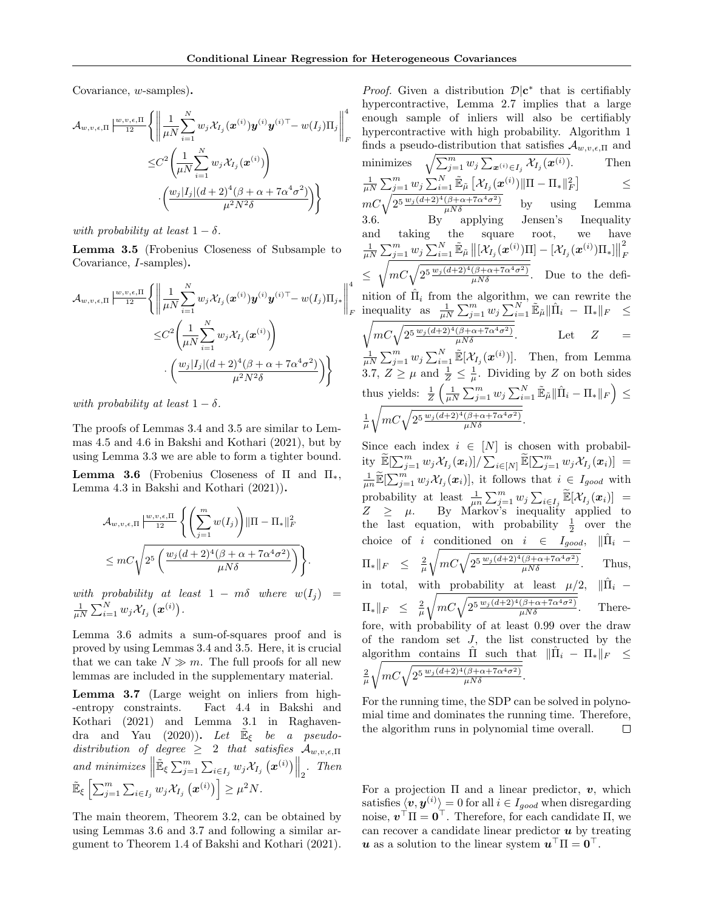Covariance, w-samples).

$$
\mathcal{A}_{w,v,\epsilon,\Pi} \left| \frac{w,v,\epsilon,\Pi}{12} \left\{ \left\| \frac{1}{\mu N} \sum_{i=1}^{N} w_j \mathcal{X}_{I_j}(\boldsymbol{x}^{(i)}) \boldsymbol{y}^{(i)} \boldsymbol{y}^{(i)\top} - w(I_j) \Pi_j \right\|_F^4 \right|
$$
  

$$
\leq C^2 \left( \frac{1}{\mu N} \sum_{i=1}^{N} w_j \mathcal{X}_{I_j}(\boldsymbol{x}^{(i)}) \right)
$$

$$
\cdot \left( \frac{w_j |I_j| (d+2)^4 (\beta + \alpha + 7\alpha^4 \sigma^2)}{\mu^2 N^2 \delta} \right) \right\}
$$

with probability at least  $1 - \delta$ .

Lemma 3.5 (Frobenius Closeness of Subsample to Covariance, I-samples).

$$
\mathcal{A}_{w,v,\epsilon,\Pi} \left| \frac{w,v,\epsilon,\Pi}{12} \left\{ \left\| \frac{1}{\mu N} \sum_{i=1}^{N} w_j \mathcal{X}_{I_j}(\boldsymbol{x}^{(i)}) \boldsymbol{y}^{(i)} \boldsymbol{y}^{(i)\top} - w(I_j) \Pi_{j*} \right\|_{F}^{4} \right\|
$$
  

$$
\leq C^2 \left( \frac{1}{\mu N} \sum_{i=1}^{N} w_j \mathcal{X}_{I_j}(\boldsymbol{x}^{(i)}) \right)
$$
  

$$
\cdot \left( \frac{w_j |I_j| (d+2)^4 (\beta + \alpha + 7\alpha^4 \sigma^2)}{\mu^2 N^2 \delta} \right) \right\}
$$

with probability at least  $1 - \delta$ .

The proofs of Lemmas 3.4 and 3.5 are similar to Lemmas 4.5 and 4.6 in Bakshi and Kothari (2021), but by using Lemma 3.3 we are able to form a tighter bound.

**Lemma 3.6** (Frobenius Closeness of  $\Pi$  and  $\Pi_*$ , Lemma 4.3 in Bakshi and Kothari (2021)).

$$
\mathcal{A}_{w,v,\epsilon,\Pi} \left| \frac{w,v,\epsilon,\Pi}{12} \left\{ \left( \sum_{j=1}^m w(I_j) \right) ||\Pi - \Pi_*||_F^2 \right. \\ \leq mC \sqrt{2^5 \left( \frac{w_j (d+2)^4 (\beta + \alpha + 7\alpha^4 \sigma^2)}{\mu N \delta} \right)} \right\}.
$$

with probability at least  $1 - m\delta$  where  $w(I_j) =$  $\frac{1}{\mu N} \sum_{i=1}^N w_j \mathcal{X}_{I_j}\left(\boldsymbol{x}^{(i)}\right)$  .

Lemma 3.6 admits a sum-of-squares proof and is proved by using Lemmas 3.4 and 3.5. Here, it is crucial that we can take  $N \gg m$ . The full proofs for all new lemmas are included in the supplementary material.

Lemma 3.7 (Large weight on inliers from high- -entropy constraints. Fact 4.4 in Bakshi and Kothari (2021) and Lemma 3.1 in Raghavendra and Yau (2020)). Let  $\mathbb{E}_{\xi}$  be a pseudodistribution of degree  $\geq$  2 that satisfies  $\mathcal{A}_{w,v,\epsilon,\Pi}$ and minimizes  $\parallel$  $\mathbb{E}_{\xi} \sum_{j=1}^{m} \sum_{i \in I_j} w_j \mathcal{X}_{I_j}(\boldsymbol{x}^{(i)}) \Big\|_2$ . Then  $\tilde{\mathbb{E}}_{\xi}\left[\sum_{j=1}^m\sum_{i\in I_j} w_j\mathcal{X}_{I_j}\left(\boldsymbol{x}^{(i)}\right)\right]\geq \mu^2N.$ 

The main theorem, Theorem 3.2, can be obtained by using Lemmas 3.6 and 3.7 and following a similar argument to Theorem 1.4 of Bakshi and Kothari (2021).

*Proof.* Given a distribution  $\mathcal{D}|\mathbf{c}^*$  that is certifiably hypercontractive, Lemma 2.7 implies that a large enough sample of inliers will also be certifiably hypercontractive with high probability. Algorithm 1 finds a pseudo-distribution that satisfies  $\mathcal{A}_{w,v,\epsilon,\Pi}$  and minimizes  $\sqrt{\sum_{j=1}^m w_j \sum_{\mathbf{x}^{(i)} \in I_j} \mathcal{X}_{I_j}(\mathbf{x}^{(i)})}$ . Then  $\frac{1}{\mu N} \sum_{j=1}^m w_j \sum_{i=1}^N \tilde{\mathbb{E}}_{\tilde{\mu}} \left[ \mathcal{X}_{I_j}(\boldsymbol{x}^{(i)}) \| \Pi - \Pi_* \|_F^2 \right]$ ≤  $mc\sqrt{2^{5\frac{w_j(d+2)^4(\beta+\alpha+7\alpha^4\sigma^2)}{\mu N\delta}}}$  by using Lemma 3.6. By applying Jensen's Inequality and taking the square root, we have  $\frac{1}{\mu N}\sum_{j=1}^m w_j \sum_{i=1}^N \tilde{\mathbb{E}}_{\tilde{\mu}} \left\|\left[\mathcal{X}_{I_j}(\boldsymbol{x}^{(i)})\Pi\right] - \left[\mathcal{X}_{I_j}(\boldsymbol{x}^{(i)})\Pi_*\right]\right\|$ 2 F ≤  $\sqrt{mC\sqrt{\frac{2^{5}\frac{w_{j}(d+2)^{4}(\beta+\alpha+7\alpha^{4}\sigma^{2})}{\mu N\delta}}}$ . Due to the definition of  $\hat{\Pi}_i$  from the algorithm, we can rewrite the inequality as  $\frac{1}{\mu N} \sum_{j=1}^m w_j \sum_{i=1}^N \tilde{\mathbb{E}}_{\tilde{\mu}} || \hat{\Pi}_i - \Pi_* ||_F \leq$  $\sqrt{mC\sqrt{2^{5}\frac{w_{j}(d+2)^{4}(\beta+\alpha+7\alpha^{4}\sigma^{2})}{\mu N\delta}}}$  Let  $Z =$  $\frac{1}{\mu N} \sum_{j=1}^{m} w_j \sum_{i=1}^{N} \tilde{\mathbb{E}}[\mathcal{X}_{I_j}(\boldsymbol{x}^{(i)})]$ . Then, from Lemma 3.7,  $Z \geq \mu$  and  $\frac{1}{Z} \leq \frac{1}{\mu}$ . Dividing by Z on both sides thus yields:  $\frac{1}{Z}\left(\frac{1}{\mu N}\sum_{j=1}^m w_j\sum_{i=1}^N \tilde{\mathbb{E}}_{\tilde{\mu}}\|\hat{\Pi}_i - \Pi_*\|_F\right) \leq$  $\frac{1}{\mu}$  $\sqrt{mC\sqrt{2^{5}\frac{w_j(d+2)^4(\beta+\alpha+7\alpha^4\sigma^2)}{\mu N\delta}}}$ .

Since each index  $i~\in~[N]$  is chosen with probability  $\widetilde{\mathbb{E}}[\sum_{j=1}^m w_j \mathcal{X}_{I_j}(\boldsymbol{x}_i)] / \sum_{i \in [N]} \widetilde{\mathbb{E}}[\sum_{j=1}^m w_j \mathcal{X}_{I_j}(\boldsymbol{x}_i)] =$  $\frac{1}{\mu n} \widetilde{\mathbb{E}}[\sum_{j=1}^m w_j \mathcal{X}_{I_j}(\boldsymbol{x}_i)],$  it follows that  $i \in I_{good}$  with probability at least  $\frac{1}{\mu n} \sum_{j=1}^m w_j \sum_{i \in I_j} \widetilde{\mathbb{E}}[\mathcal{X}_{I_j}(\boldsymbol{x}_i)] =$  $Z \geq \mu$ . By Markov's inequality applied to the last equation, with probability  $\frac{1}{2}$  over the choice of i conditioned on  $i \in I_{good}$ ,  $\|\hat{\Pi}_i \Pi_*\Vert_F \ \leq \ \frac{2}{\mu}$  $\sqrt{mC\sqrt{2^5\frac{w_j(d+2)^4(\beta+\alpha+7\alpha^4\sigma^2)}{\mu N\delta}}}$ . Thus, in total, with probability at least  $\mu/2$ ,  $\|\Pi_i\|$  $\Pi_*\Vert_F \ \leq \ \frac{2}{\mu}$  $\sqrt{mC\sqrt{2^5\frac{w_j(d+2)^4(\beta+\alpha+7\alpha^4\sigma^2)}{\mu N\delta}}}$ . Therefore, with probability of at least 0.99 over the draw of the random set  $J$ , the list constructed by the algorithm contains  $\hat{\Pi}$  such that  $\|\hat{\Pi}_i - \Pi_*\|_F \leq$  $\frac{2}{\mu}$  $\sqrt{mC\sqrt{2^{5}\frac{w_j(d+2)^4(\beta+\alpha+7\alpha^4\sigma^2)}{\mu N\delta}}}$ .

For the running time, the SDP can be solved in polynomial time and dominates the running time. Therefore, the algorithm runs in polynomial time overall. □

For a projection  $\Pi$  and a linear predictor,  $v$ , which satisfies  $\langle v, y^{(i)} \rangle = 0$  for all  $i \in I_{good}$  when disregarding noise,  $v^{\top} \Pi = 0^{\top}$ . Therefore, for each candidate  $\Pi$ , we can recover a candidate linear predictor  $\boldsymbol{u}$  by treating  $\boldsymbol{u}$  as a solution to the linear system  $\boldsymbol{u}^\top \Pi = \boldsymbol{0}^\top$ .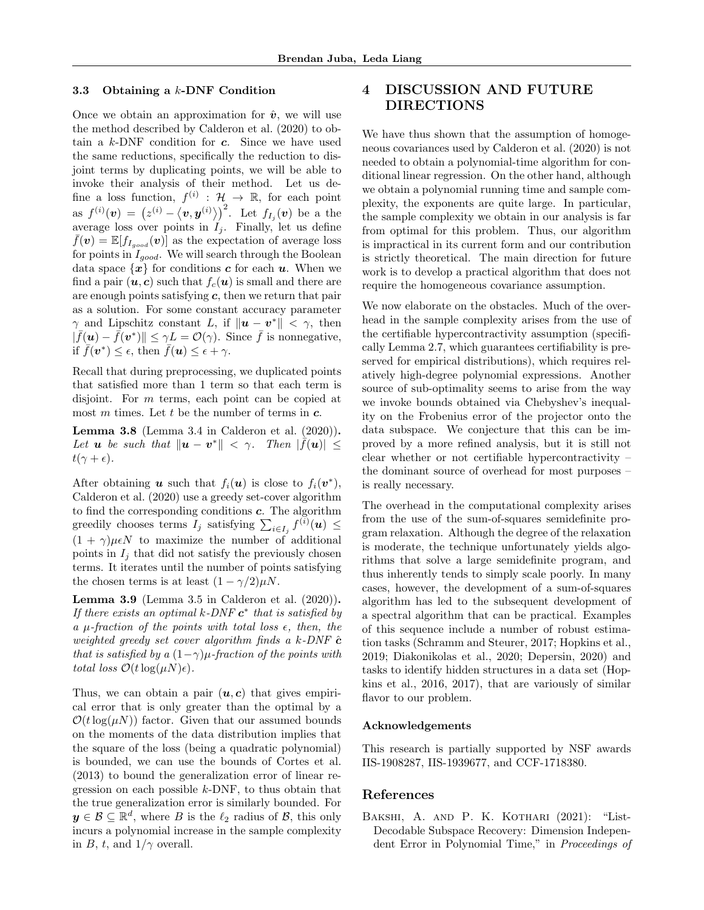#### 3.3 Obtaining a  $k$ -DNF Condition

Once we obtain an approximation for  $\hat{v}$ , we will use the method described by Calderon et al. (2020) to obtain a  $k$ -DNF condition for  $c$ . Since we have used the same reductions, specifically the reduction to disjoint terms by duplicating points, we will be able to invoke their analysis of their method. Let us define a loss function,  $f^{(i)} : \mathcal{H} \to \mathbb{R}$ , for each point as  $f^{(i)}(\bm{v}) = (z^{(i)} - \langle \bm{v}, \bm{y}^{(i)} \rangle)^2$ . Let  $f_{I_j}(\bm{v})$  be a the average loss over points in  $I_j$ . Finally, let us define  $f(\mathbf{v}) = \mathbb{E}[f_{I_{good}}(\mathbf{v})]$  as the expectation of average loss for points in  $I_{good}$ . We will search through the Boolean data space  $\{x\}$  for conditions c for each u. When we find a pair  $(u, c)$  such that  $f_c(u)$  is small and there are are enough points satisfying  $c$ , then we return that pair as a solution. For some constant accuracy parameter  $\gamma$  and Lipschitz constant L, if  $\|\boldsymbol{u} - \boldsymbol{v}^*\| < \gamma$ , then  $|\bar{f}(\boldsymbol{u}) - \bar{f}(\boldsymbol{v}^*)| \leq \gamma L = \mathcal{O}(\gamma)$ . Since  $\bar{f}$  is nonnegative, if  $\bar{f}(\boldsymbol{v}^*) \leq \epsilon$ , then  $\bar{f}(\boldsymbol{u}) \leq \epsilon + \gamma$ .

Recall that during preprocessing, we duplicated points that satisfied more than 1 term so that each term is disjoint. For *m* terms, each point can be copied at most m times. Let t be the number of terms in  $c$ .

**Lemma 3.8** (Lemma 3.4 in Calderon et al.  $(2020)$ ). Let **u** be such that  $\|\boldsymbol{u} - \boldsymbol{v}^*\| < \gamma$ . Then  $|\tilde{f}(\boldsymbol{u})| \leq$  $t(\gamma + \epsilon)$ .

After obtaining **u** such that  $f_i(\mathbf{u})$  is close to  $f_i(\mathbf{v}^*),$ Calderon et al. (2020) use a greedy set-cover algorithm to find the corresponding conditions  $c$ . The algorithm greedily chooses terms  $I_j$  satisfying  $\sum_{i \in I_j} f^{(i)}(\boldsymbol{u}) \leq$  $(1 + \gamma)\mu \in N$  to maximize the number of additional points in  $I_i$  that did not satisfy the previously chosen terms. It iterates until the number of points satisfying the chosen terms is at least  $(1 - \gamma/2)\mu N$ .

**Lemma 3.9** (Lemma 3.5 in Calderon et al.  $(2020)$ ). If there exists an optimal k-DNF  $c^*$  that is satisfied by a  $\mu$ -fraction of the points with total loss  $\epsilon$ , then, the weighted greedy set cover algorithm finds a  $k$ -DNF  $\hat{c}$ that is satisfied by a  $(1-\gamma)\mu$ -fraction of the points with total loss  $\mathcal{O}(t \log(\mu N)\epsilon)$ .

Thus, we can obtain a pair  $(u, c)$  that gives empirical error that is only greater than the optimal by a  $\mathcal{O}(t \log(\mu N))$  factor. Given that our assumed bounds on the moments of the data distribution implies that the square of the loss (being a quadratic polynomial) is bounded, we can use the bounds of Cortes et al. (2013) to bound the generalization error of linear regression on each possible  $k$ -DNF, to thus obtain that the true generalization error is similarly bounded. For  $y \in \mathcal{B} \subseteq \mathbb{R}^d$ , where B is the  $\ell_2$  radius of B, this only incurs a polynomial increase in the sample complexity in B, t, and  $1/\gamma$  overall.

# 4 DISCUSSION AND FUTURE DIRECTIONS

We have thus shown that the assumption of homogeneous covariances used by Calderon et al. (2020) is not needed to obtain a polynomial-time algorithm for conditional linear regression. On the other hand, although we obtain a polynomial running time and sample complexity, the exponents are quite large. In particular, the sample complexity we obtain in our analysis is far from optimal for this problem. Thus, our algorithm is impractical in its current form and our contribution is strictly theoretical. The main direction for future work is to develop a practical algorithm that does not require the homogeneous covariance assumption.

We now elaborate on the obstacles. Much of the overhead in the sample complexity arises from the use of the certifiable hypercontractivity assumption (specifically Lemma 2.7, which guarantees certifiability is preserved for empirical distributions), which requires relatively high-degree polynomial expressions. Another source of sub-optimality seems to arise from the way we invoke bounds obtained via Chebyshev's inequality on the Frobenius error of the projector onto the data subspace. We conjecture that this can be improved by a more refined analysis, but it is still not clear whether or not certifiable hypercontractivity – the dominant source of overhead for most purposes – is really necessary.

The overhead in the computational complexity arises from the use of the sum-of-squares semidefinite program relaxation. Although the degree of the relaxation is moderate, the technique unfortunately yields algorithms that solve a large semidefinite program, and thus inherently tends to simply scale poorly. In many cases, however, the development of a sum-of-squares algorithm has led to the subsequent development of a spectral algorithm that can be practical. Examples of this sequence include a number of robust estimation tasks (Schramm and Steurer, 2017; Hopkins et al., 2019; Diakonikolas et al., 2020; Depersin, 2020) and tasks to identify hidden structures in a data set (Hopkins et al., 2016, 2017), that are variously of similar flavor to our problem.

#### Acknowledgements

This research is partially supported by NSF awards IIS-1908287, IIS-1939677, and CCF-1718380.

# References

BAKSHI, A. AND P. K. KOTHARI (2021): "List-Decodable Subspace Recovery: Dimension Independent Error in Polynomial Time," in Proceedings of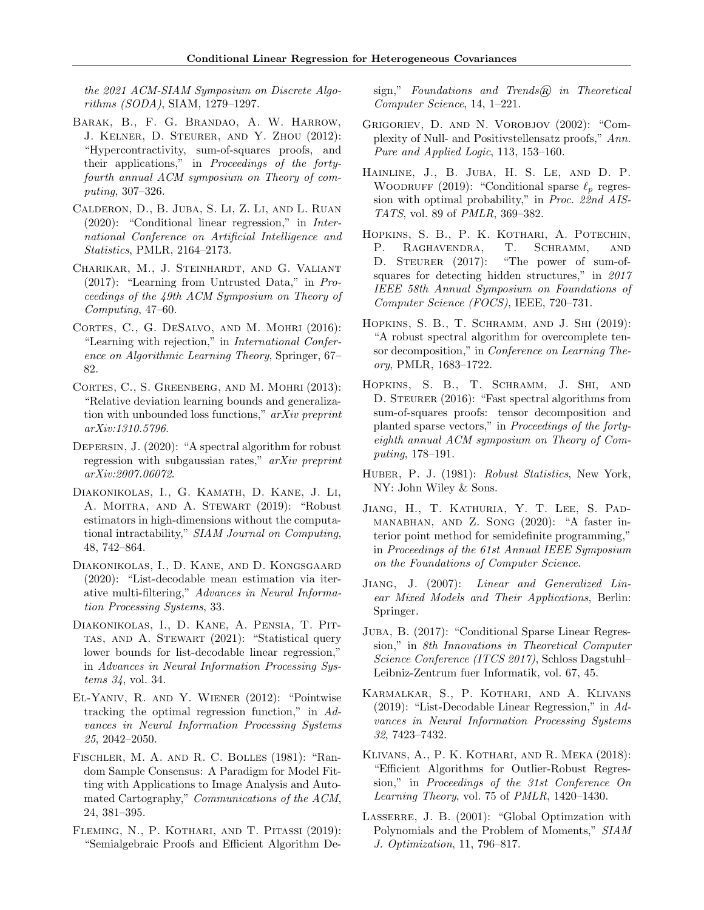the 2021 ACM-SIAM Symposium on Discrete Algorithms (SODA), SIAM, 1279–1297.

- Barak, B., F. G. Brandao, A. W. Harrow, J. Kelner, D. Steurer, and Y. Zhou (2012): "Hypercontractivity, sum-of-squares proofs, and their applications," in Proceedings of the fortyfourth annual ACM symposium on Theory of computing, 307–326.
- Calderon, D., B. Juba, S. Li, Z. Li, and L. Ruan (2020): "Conditional linear regression," in International Conference on Artificial Intelligence and Statistics, PMLR, 2164–2173.
- Charikar, M., J. Steinhardt, and G. Valiant (2017): "Learning from Untrusted Data," in Proceedings of the 49th ACM Symposium on Theory of Computing, 47–60.
- Cortes, C., G. DeSalvo, and M. Mohri (2016): "Learning with rejection," in International Conference on Algorithmic Learning Theory, Springer, 67– 82.
- Cortes, C., S. Greenberg, and M. Mohri (2013): "Relative deviation learning bounds and generalization with unbounded loss functions," arXiv preprint arXiv:1310.5796.
- Depersin, J. (2020): "A spectral algorithm for robust regression with subgaussian rates," arXiv preprint arXiv:2007.06072.
- Diakonikolas, I., G. Kamath, D. Kane, J. Li, A. Moitra, and A. Stewart (2019): "Robust estimators in high-dimensions without the computational intractability," SIAM Journal on Computing, 48, 742–864.
- Diakonikolas, I., D. Kane, and D. Kongsgaard (2020): "List-decodable mean estimation via iterative multi-filtering," Advances in Neural Information Processing Systems, 33.
- Diakonikolas, I., D. Kane, A. Pensia, T. Pittas, and A. Stewart (2021): "Statistical query lower bounds for list-decodable linear regression," in Advances in Neural Information Processing Systems 34, vol. 34.
- El-Yaniv, R. and Y. Wiener (2012): "Pointwise tracking the optimal regression function," in Advances in Neural Information Processing Systems 25, 2042–2050.
- Fischler, M. A. and R. C. Bolles (1981): "Random Sample Consensus: A Paradigm for Model Fitting with Applications to Image Analysis and Automated Cartography," Communications of the ACM, 24, 381–395.
- Fleming, N., P. Kothari, and T. Pitassi (2019): "Semialgebraic Proofs and Efficient Algorithm De-

sign," Foundations and Trends $\widehat{R}$  in Theoretical Computer Science, 14, 1–221.

- Grigoriev, D. and N. Vorobjov (2002): "Complexity of Null- and Positivstellensatz proofs," Ann. Pure and Applied Logic, 113, 153–160.
- Hainline, J., B. Juba, H. S. Le, and D. P. WOODRUFF (2019): "Conditional sparse  $\ell_p$  regression with optimal probability," in Proc. 22nd AIS-TATS, vol. 89 of PMLR, 369–382.
- Hopkins, S. B., P. K. Kothari, A. Potechin, P. RAGHAVENDRA, T. SCHRAMM, AND D. STEURER (2017): "The power of sum-ofsquares for detecting hidden structures," in 2017 IEEE 58th Annual Symposium on Foundations of Computer Science (FOCS), IEEE, 720–731.
- HOPKINS, S. B., T. SCHRAMM, AND J. SHI (2019): "A robust spectral algorithm for overcomplete tensor decomposition," in Conference on Learning Theory, PMLR, 1683–1722.
- Hopkins, S. B., T. Schramm, J. Shi, and D. STEURER (2016): "Fast spectral algorithms from sum-of-squares proofs: tensor decomposition and planted sparse vectors," in Proceedings of the fortyeighth annual ACM symposium on Theory of Computing, 178–191.
- HUBER, P. J. (1981): Robust Statistics, New York, NY: John Wiley & Sons.
- Jiang, H., T. Kathuria, Y. T. Lee, S. Padmanabhan, and Z. Song (2020): "A faster interior point method for semidefinite programming," in Proceedings of the 61st Annual IEEE Symposium on the Foundations of Computer Science.
- Jiang, J. (2007): Linear and Generalized Linear Mixed Models and Their Applications, Berlin: Springer.
- Juba, B. (2017): "Conditional Sparse Linear Regression," in 8th Innovations in Theoretical Computer Science Conference (ITCS 2017), Schloss Dagstuhl– Leibniz-Zentrum fuer Informatik, vol. 67, 45.
- Karmalkar, S., P. Kothari, and A. Klivans (2019): "List-Decodable Linear Regression," in Advances in Neural Information Processing Systems 32, 7423–7432.
- Klivans, A., P. K. Kothari, and R. Meka (2018): "Efficient Algorithms for Outlier-Robust Regression," in Proceedings of the 31st Conference On Learning Theory, vol. 75 of PMLR, 1420–1430.
- LASSERRE, J. B. (2001): "Global Optimzation with Polynomials and the Problem of Moments," SIAM J. Optimization, 11, 796–817.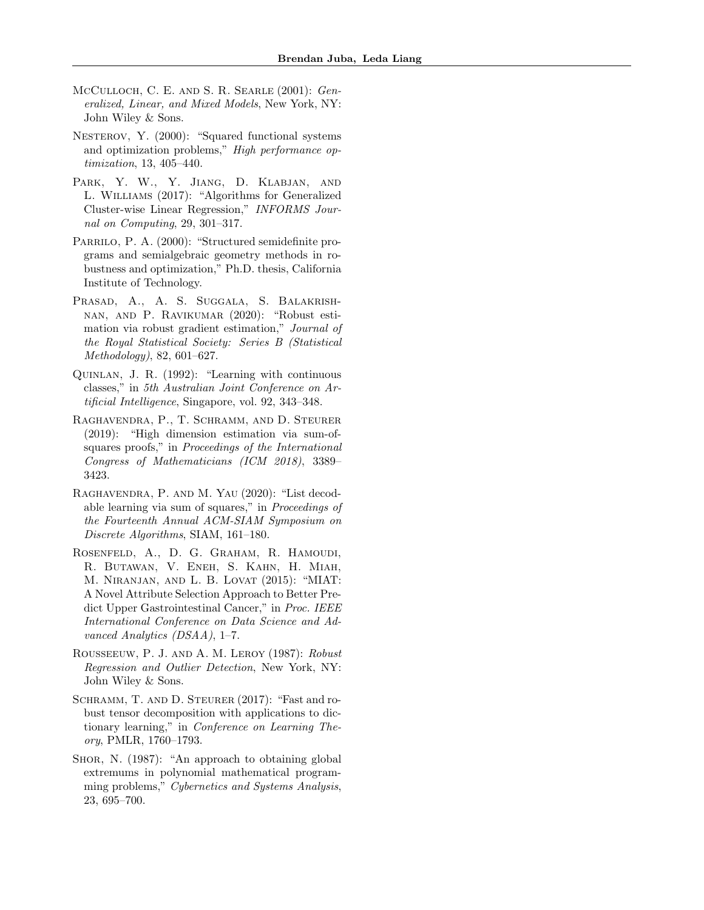- McCulloch, C. E. and S. R. Searle (2001): Generalized, Linear, and Mixed Models, New York, NY: John Wiley & Sons.
- NESTEROV, Y. (2000): "Squared functional systems and optimization problems," High performance optimization, 13, 405–440.
- Park, Y. W., Y. Jiang, D. Klabjan, and L. Williams (2017): "Algorithms for Generalized Cluster-wise Linear Regression," INFORMS Journal on Computing, 29, 301–317.
- PARRILO, P. A. (2000): "Structured semidefinite programs and semialgebraic geometry methods in robustness and optimization," Ph.D. thesis, California Institute of Technology.
- Prasad, A., A. S. Suggala, S. Balakrishnan, and P. Ravikumar (2020): "Robust estimation via robust gradient estimation," Journal of the Royal Statistical Society: Series B (Statistical Methodology), 82, 601–627.
- Quinlan, J. R. (1992): "Learning with continuous classes," in 5th Australian Joint Conference on Artificial Intelligence, Singapore, vol. 92, 343–348.
- Raghavendra, P., T. Schramm, and D. Steurer (2019): "High dimension estimation via sum-ofsquares proofs," in Proceedings of the International Congress of Mathematicians (ICM 2018), 3389– 3423.
- Raghavendra, P. and M. Yau (2020): "List decodable learning via sum of squares," in Proceedings of the Fourteenth Annual ACM-SIAM Symposium on Discrete Algorithms, SIAM, 161–180.
- Rosenfeld, A., D. G. Graham, R. Hamoudi, R. Butawan, V. Eneh, S. Kahn, H. Miah, M. Niranjan, and L. B. Lovat (2015): "MIAT: A Novel Attribute Selection Approach to Better Predict Upper Gastrointestinal Cancer," in Proc. IEEE International Conference on Data Science and Advanced Analytics (DSAA), 1–7.
- Rousseeuw, P. J. and A. M. Leroy (1987): Robust Regression and Outlier Detection, New York, NY: John Wiley & Sons.
- SCHRAMM, T. AND D. STEURER (2017): "Fast and robust tensor decomposition with applications to dictionary learning," in Conference on Learning Theory, PMLR, 1760–1793.
- SHOR, N. (1987): "An approach to obtaining global extremums in polynomial mathematical programming problems," Cybernetics and Systems Analysis, 23, 695–700.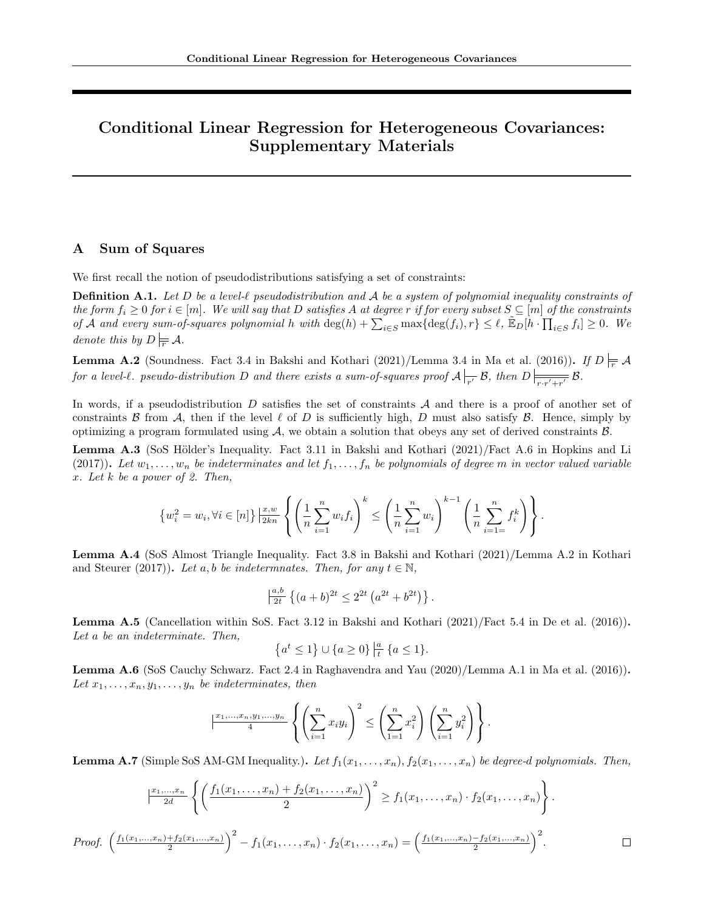# Conditional Linear Regression for Heterogeneous Covariances: Supplementary Materials

# A Sum of Squares

We first recall the notion of pseudodistributions satisfying a set of constraints:

**Definition A.1.** Let D be a level- $\ell$  pseudodistribution and A be a system of polynomial inequality constraints of the form  $f_i \geq 0$  for  $i \in [m]$ . We will say that D satisfies A at degree r if for every subset  $S \subseteq [m]$  of the constraints of A and every sum-of-squares polynomial h with  $\deg(h) + \sum_{i \in S} \max\{\deg(f_i), r\} \leq \ell$ ,  $\mathbb{E}_D[h \cdot \prod_{i \in S} f_i] \geq 0$ . We denote this by  $D \models \mathcal{A}$ .

**Lemma A.2** (Soundness. Fact 3.4 in Bakshi and Kothari (2021)/Lemma 3.4 in Ma et al. (2016)). If  $D \models \mathcal{A}$ for a level-l. pseudo-distribution D and there exists a sum-of-squares proof  $\mathcal{A} \vert_{\overline{r'}} \mathcal{B}$ , then  $D \vert_{\overline{r,r'+r'}} \mathcal{B}$ .

In words, if a pseudodistribution  $D$  satisfies the set of constraints  $A$  and there is a proof of another set of constraints B from A, then if the level  $\ell$  of D is sufficiently high, D must also satisfy B. Hence, simply by optimizing a program formulated using  $A$ , we obtain a solution that obeys any set of derived constraints  $B$ .

**Lemma A.3** (SoS Hölder's Inequality. Fact 3.11 in Bakshi and Kothari  $(2021)/$  Fact A.6 in Hopkins and Li (2017)). Let  $w_1, \ldots, w_n$  be indeterminates and let  $f_1, \ldots, f_n$  be polynomials of degree m in vector valued variable x. Let k be a power of 2. Then,

$$
\{w_i^2 = w_i, \forall i \in [n]\} \frac{x, w}{2kn} \left\{ \left(\frac{1}{n} \sum_{i=1}^n w_i f_i\right)^k \le \left(\frac{1}{n} \sum_{i=1}^n w_i\right)^{k-1} \left(\frac{1}{n} \sum_{i=1}^n f_i^k\right) \right\}.
$$

Lemma A.4 (SoS Almost Triangle Inequality. Fact 3.8 in Bakshi and Kothari (2021)/Lemma A.2 in Kothari and Steurer (2017)). Let a, b be indeterminates. Then, for any  $t \in \mathbb{N}$ ,

$$
\frac{|_{at}^{a,b}|}{2t} \left\{ (a+b)^{2t} \le 2^{2t} \left( a^{2t} + b^{2t} \right) \right\}.
$$

Lemma A.5 (Cancellation within SoS. Fact 3.12 in Bakshi and Kothari (2021)/Fact 5.4 in De et al. (2016)). Let a be an indeterminate. Then,

$$
\{a^t \le 1\} \cup \{a \ge 0\} \, \frac{|a|}{t} \, \{a \le 1\}.
$$

Lemma A.6 (SoS Cauchy Schwarz. Fact 2.4 in Raghavendra and Yau (2020)/Lemma A.1 in Ma et al. (2016)). Let  $x_1, \ldots, x_n, y_1, \ldots, y_n$  be indeterminates, then

$$
\left|\frac{x_1,\ldots,x_n,y_1,\ldots,y_n}{4}\left\{\left(\sum_{i=1}^nx_iy_i\right)^2\leq\left(\sum_{1=1}^nx_i^2\right)\left(\sum_{i=1}^ny_i^2\right)\right\}.
$$

**Lemma A.7** (Simple SoS AM-GM Inequality.). Let  $f_1(x_1, \ldots, x_n)$ ,  $f_2(x_1, \ldots, x_n)$  be degree-d polynomials. Then,

$$
\left| \frac{x_1, \dots, x_n}{2d} \left\{ \left( \frac{f_1(x_1, \dots, x_n) + f_2(x_1, \dots, x_n)}{2} \right)^2 \ge f_1(x_1, \dots, x_n) \cdot f_2(x_1, \dots, x_n) \right\} \right\}.
$$
  
Proof. 
$$
\left( \frac{f_1(x_1, \dots, x_n) + f_2(x_1, \dots, x_n)}{2} \right)^2 - f_1(x_1, \dots, x_n) \cdot f_2(x_1, \dots, x_n) = \left( \frac{f_1(x_1, \dots, x_n) - f_2(x_1, \dots, x_n)}{2} \right)^2.
$$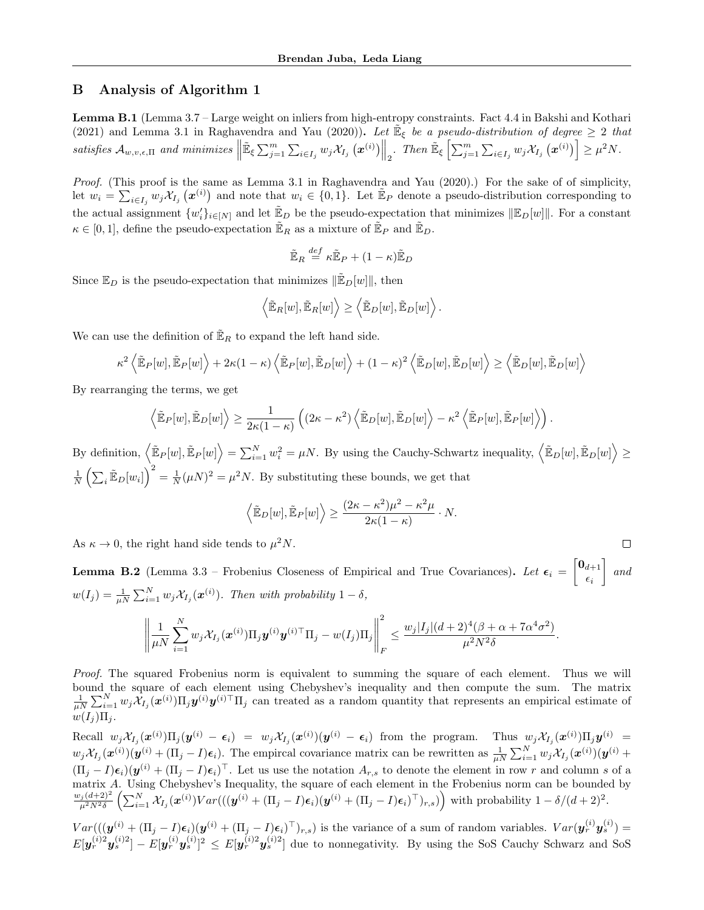# B Analysis of Algorithm 1

Lemma B.1 (Lemma 3.7 – Large weight on inliers from high-entropy constraints. Fact 4.4 in Bakshi and Kothari (2021) and Lemma 3.1 in Raghavendra and Yau (2020)). Let  $\mathbb{E}_{\xi}$  be a pseudo-distribution of degree  $\geq 2$  that satisfies  $\mathcal{A}_{w,v,\epsilon,\Pi}$  and minimizes  $\parallel$  $\mathbb{E}_{\xi} \sum_{j=1}^{m} \sum_{i \in I_j} w_j \mathcal{X}_{I_j}(\boldsymbol{x}^{(i)}) \Big\|_2$ . Then  $\mathbb{E}_{\xi} \left[ \sum_{j=1}^{m} \sum_{i \in I_j} w_j \mathcal{X}_{I_j}(\boldsymbol{x}^{(i)}) \right] \geq \mu^2 N$ .

Proof. (This proof is the same as Lemma 3.1 in Raghavendra and Yau (2020).) For the sake of of simplicity, let  $w_i = \sum_{i \in I_j} w_j \mathcal{X}_{I_j}(\boldsymbol{x}^{(i)})$  and note that  $w_i \in \{0, 1\}$ . Let  $\mathbb{E}_P$  denote a pseudo-distribution corresponding to the actual assignment  $\{w_i'\}_{i\in[N]}$  and let  $\mathbb{E}_D$  be the pseudo-expectation that minimizes  $\|\mathbb{E}_D[w]\|$ . For a constant  $\kappa \in [0,1]$ , define the pseudo-expectation  $\mathbb{E}_R$  as a mixture of  $\mathbb{E}_P$  and  $\mathbb{E}_D$ .

$$
\tilde{\mathbb{E}}_R\stackrel{def}{=}\kappa\tilde{\mathbb{E}}_P+(1-\kappa)\tilde{\mathbb{E}}_D
$$

Since  $\mathbb{E}_D$  is the pseudo-expectation that minimizes  $\|\mathbb{E}_D[w]\|$ , then

$$
\left\langle \tilde{\mathbb{E}}_R[w], \tilde{\mathbb{E}}_R[w] \right\rangle \ge \left\langle \tilde{\mathbb{E}}_D[w], \tilde{\mathbb{E}}_D[w] \right\rangle.
$$

We can use the definition of  $\mathbb{E}_R$  to expand the left hand side.

$$
\kappa^2 \left\langle \tilde{\mathbb{E}}_P[w], \tilde{\mathbb{E}}_P[w] \right\rangle + 2\kappa (1 - \kappa) \left\langle \tilde{\mathbb{E}}_P[w], \tilde{\mathbb{E}}_D[w] \right\rangle + (1 - \kappa)^2 \left\langle \tilde{\mathbb{E}}_D[w], \tilde{\mathbb{E}}_D[w] \right\rangle \ge \left\langle \tilde{\mathbb{E}}_D[w], \tilde{\mathbb{E}}_D[w] \right\rangle
$$

By rearranging the terms, we get

$$
\left\langle \tilde{\mathbb{E}}_P[w], \tilde{\mathbb{E}}_D[w] \right\rangle \geq \frac{1}{2\kappa(1-\kappa)} \left( (2\kappa - \kappa^2) \left\langle \tilde{\mathbb{E}}_D[w], \tilde{\mathbb{E}}_D[w] \right\rangle - \kappa^2 \left\langle \tilde{\mathbb{E}}_P[w], \tilde{\mathbb{E}}_P[w] \right\rangle \right).
$$

By definition,  $\left\langle \mathbb{\tilde{E}}_P[w], \mathbb{\tilde{E}}_P[w] \right\rangle = \sum_{i=1}^N w_i^2 = \mu N$ . By using the Cauchy-Schwartz inequality,  $\left\langle \mathbb{\tilde{E}}_D[w], \mathbb{\tilde{E}}_D[w] \right\rangle \geq$  $\frac{1}{N}\left(\sum_i \tilde{\mathbb{E}}_D[w_i]\right)^2 = \frac{1}{N}(\mu N)^2 = \mu^2 N$ . By substituting these bounds, we get that

$$
\langle \tilde{\mathbb{E}}_D[w], \tilde{\mathbb{E}}_P[w] \rangle \ge \frac{(2\kappa - \kappa^2)\mu^2 - \kappa^2\mu}{2\kappa(1 - \kappa)} \cdot N.
$$

 $\Box$ 

As  $\kappa \to 0$ , the right hand side tends to  $\mu^2 N$ .

**Lemma B.2** (Lemma 3.3 – Frobenius Closeness of Empirical and True Covariances). Let  $\epsilon_i = \begin{bmatrix} 0_{d+1} \\ 0 \end{bmatrix}$  $\epsilon_i$ 1 and  $w(I_j) = \frac{1}{\mu N} \sum_{i=1}^N w_j \mathcal{X}_{I_j}(\boldsymbol{x}^{(i)})$ . Then with probability  $1-\delta$ ,

$$
\left\|\frac{1}{\mu N}\sum_{i=1}^N w_j \mathcal{X}_{I_j}(\boldsymbol{x}^{(i)})\Pi_j \boldsymbol{y}^{(i)}\boldsymbol{y}^{(i)\top}\Pi_j - w(I_j)\Pi_j\right\|_F^2 \leq \frac{w_j|I_j|(d+2)^4(\beta+\alpha+7\alpha^4\sigma^2)}{\mu^2N^2\delta}.
$$

Proof. The squared Frobenius norm is equivalent to summing the square of each element. Thus we will bound the square of each element using Chebyshev's inequality and then compute the sum. The matrix  $\frac{1}{\mu N}\sum_{i=1}^N w_j \mathcal{X}_{I_j}(\boldsymbol{x}^{(i)})\Pi_j \boldsymbol{y}^{(i)}\mathbf{I} \Pi_j$  can treated as a random quantity that represents an empirical estimate of  $w(I_i) \Pi_i$ .

Recall  $w_j \mathcal{X}_{I_j}(\boldsymbol{x}^{(i)}) \Pi_j(\boldsymbol{y}^{(i)} - \boldsymbol{\epsilon}_i) = w_j \mathcal{X}_{I_j}(\boldsymbol{x}^{(i)}) (\boldsymbol{y}^{(i)} - \boldsymbol{\epsilon}_i)$  from the program. Thus  $w_j \mathcal{X}_{I_j}(\boldsymbol{x}^{(i)}) \Pi_j \boldsymbol{y}^{(i)} =$  $w_j \mathcal{X}_{I_j}(\boldsymbol{x}^{(i)})(\boldsymbol{y}^{(i)} + (\Pi_j - I)\boldsymbol{\epsilon}_i)$ . The empircal covariance matrix can be rewritten as  $\frac{1}{\mu N} \sum_{i=1}^N w_j \mathcal{X}_{I_j}(\boldsymbol{x}^{(i)})(\boldsymbol{y}^{(i)} +$  $(\Pi_j - I)\epsilon_i)(y^{(i)} + (\Pi_j - I)\epsilon_i)^\top$ . Let us use the notation  $A_{r,s}$  to denote the element in row r and column s of a matrix A. Using Chebyshev's Inequality, the square of each element in the Frobenius norm can be bounded by  $\frac{w_j(d+2)^2}{\mu^2 N^2 \delta} \left( \sum_{i=1}^N \mathcal{X}_{I_j}(\boldsymbol{x}^{(i)}) Var(((\boldsymbol{y}^{(i)} + (\Pi_j - I)\boldsymbol{\epsilon}_i)(\boldsymbol{y}^{(i)} + (\Pi_j - I)\boldsymbol{\epsilon}_i)^{\top})_{r,s}) \right)$  with probability  $1 - \delta/(d+2)^2$ .

 $Var((\mathbf{y}^{(i)} + (\Pi_j - I)\boldsymbol{\epsilon}_i)(\mathbf{y}^{(i)} + (\Pi_j - I)\boldsymbol{\epsilon}_i)^{\top})_{r,s})$  is the variance of a sum of random variables.  $Var(\mathbf{y}_r^{(i)}\mathbf{y}_s^{(i)}) =$  $E[\mathbf{y}_r^{(i)2} \mathbf{y}_s^{(i)}]^2 - E[\mathbf{y}_r^{(i)} \mathbf{y}_s^{(i)}]^2 \leq E[\mathbf{y}_r^{(i)2} \mathbf{y}_s^{(i)2}]$  due to nonnegativity. By using the SoS Cauchy Schwarz and SoS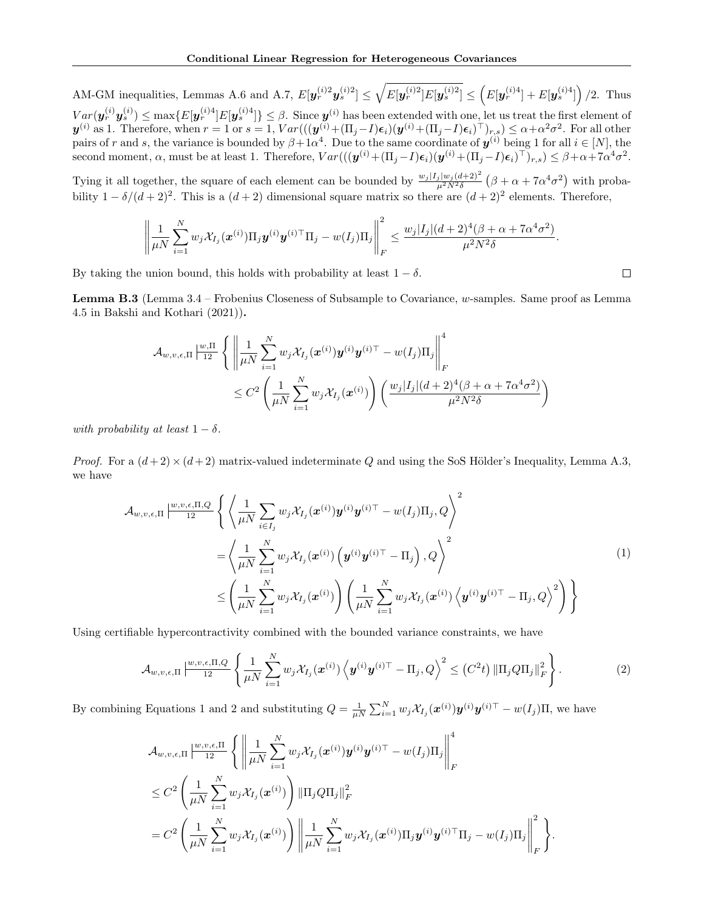AM-GM inequalities, Lemmas A.6 and A.7,  $E[\mathbf{y}_r^{(i)2} \mathbf{y}_s^{(i)2}] \leq \sqrt{E[\mathbf{y}_r^{(i)2}] E[\mathbf{y}_s^{(i)2}]} \leq (E[\mathbf{y}_r^{(i)4}] + E[\mathbf{y}_s^{(i)4}])/2$ . Thus  $Var(\bm{y}_r^{(i)}\bm{y}_s^{(i)}) \le \max\{E[\bm{y}_r^{(i)4}]E[\bm{y}_s^{(i)4}]\} \le \beta$ . Since  $\bm{y}^{(i)}$  has been extended with one, let us treat the first element of  $\bm{y}^{(i)}$  as 1. Therefore, when  $r = 1$  or  $s = 1$ ,  $Var(((\bm{y}^{(i)} + (\Pi_j - I)\bm{\epsilon}_i)(\bm{y}^{(i)} + (\Pi_j - I)\bm{\epsilon}_i)^{\top})_{r,s}) \leq \alpha + \alpha^2 \sigma^2$ . For all other pairs of r and s, the variance is bounded by  $\beta+1\alpha^4$ . Due to the same coordinate of  $y^{(i)}$  being 1 for all  $i \in [N]$ , the second moment,  $\alpha$ , must be at least 1. Therefore,  $Var(((\boldsymbol{y}^{(i)} + (\Pi_j - I)\boldsymbol{\epsilon}_i)(\boldsymbol{y}^{(i)} + (\Pi_j - I)\boldsymbol{\epsilon}_i)^{\top})_{r,s}) \leq \beta + \alpha + 7\alpha^4\sigma^2$ .

Tying it all together, the square of each element can be bounded by  $\frac{w_j |I_j| w_j (d+2)^2}{\mu^2 N^2 \delta} (\beta + \alpha + 7\alpha^4 \sigma^2)$  with probability  $1 - \delta/(d+2)^2$ . This is a  $(d+2)$  dimensional square matrix so there are  $(d+2)^2$  elements. Therefore,

$$
\left\|\frac{1}{\mu N}\sum_{i=1}^N w_j \mathcal{X}_{I_j}(\boldsymbol{x}^{(i)})\Pi_j \boldsymbol{y}^{(i)}\boldsymbol{y}^{(i)\top}\Pi_j - w(I_j)\Pi_j\right\|_F^2 \leq \frac{w_j|I_j|(d+2)^4(\beta+\alpha+7\alpha^4\sigma^2)}{\mu^2N^2\delta}.
$$

By taking the union bound, this holds with probability at least  $1 - \delta$ .

Lemma B.3 (Lemma 3.4 – Frobenius Closeness of Subsample to Covariance, w-samples. Same proof as Lemma 4.5 in Bakshi and Kothari (2021)).

$$
\mathcal{A}_{w,v,\epsilon,\Pi} \left| \frac{w,\Pi}{12} \left\{ \left\| \frac{1}{\mu N} \sum_{i=1}^N w_j \mathcal{X}_{I_j}(\boldsymbol{x}^{(i)}) \boldsymbol{y}^{(i)} \boldsymbol{y}^{(i)\top} - w(I_j) \Pi_j \right\|_F^4 \right\} \leq C^2 \left( \frac{1}{\mu N} \sum_{i=1}^N w_j \mathcal{X}_{I_j}(\boldsymbol{x}^{(i)}) \right) \left( \frac{w_j |I_j| (d+2)^4 (\beta + \alpha + 7\alpha^4 \sigma^2)}{\mu^2 N^2 \delta} \right)
$$

with probability at least  $1 - \delta$ .

*Proof.* For a  $(d+2) \times (d+2)$  matrix-valued indeterminate Q and using the SoS Hölder's Inequality, Lemma A.3, we have

$$
\mathcal{A}_{w,v,\epsilon,\Pi} \Big| \frac{w,v,\epsilon,\Pi,Q}{12} \left\{ \left\langle \frac{1}{\mu N} \sum_{i \in I_j} w_j \mathcal{X}_{I_j}(\boldsymbol{x}^{(i)}) \boldsymbol{y}^{(i)} \boldsymbol{y}^{(i)\top} - w(I_j) \Pi_j, Q \right\rangle^2 \right\}
$$
\n
$$
= \left\langle \frac{1}{\mu N} \sum_{i=1}^N w_j \mathcal{X}_{I_j}(\boldsymbol{x}^{(i)}) \left( \boldsymbol{y}^{(i)} \boldsymbol{y}^{(i)\top} - \Pi_j \right), Q \right\rangle^2
$$
\n
$$
\leq \left( \frac{1}{\mu N} \sum_{i=1}^N w_j \mathcal{X}_{I_j}(\boldsymbol{x}^{(i)}) \right) \left( \frac{1}{\mu N} \sum_{i=1}^N w_j \mathcal{X}_{I_j}(\boldsymbol{x}^{(i)}) \left\langle \boldsymbol{y}^{(i)} \boldsymbol{y}^{(i)\top} - \Pi_j, Q \right\rangle^2 \right) \right\}
$$
\n(1)

Using certifiable hypercontractivity combined with the bounded variance constraints, we have

$$
\mathcal{A}_{w,v,\epsilon,\Pi}\left|\frac{w,v,\epsilon,\Pi,Q}{12}\left\{\frac{1}{\mu N}\sum_{i=1}^N w_j \mathcal{X}_{I_j}(\boldsymbol{x}^{(i)})\left\langle \boldsymbol{y}^{(i)}\boldsymbol{y}^{(i)\top} - \Pi_j, Q \right\rangle^2 \leq (C^2 t) \|\Pi_j Q \Pi_j\|_F^2 \right\}.
$$
 (2)

By combining Equations 1 and 2 and substituting  $Q = \frac{1}{\mu N} \sum_{i=1}^{N} w_j \mathcal{X}_{I_j}(\boldsymbol{x}^{(i)}) \boldsymbol{y}^{(i)} \boldsymbol{y}^{(i)\top} - w(I_j) \Pi$ , we have

$$
\mathcal{A}_{w,v,\epsilon,\Pi} \left| \frac{w,v,\epsilon,\Pi}{12} \left\{ \left\| \frac{1}{\mu N} \sum_{i=1}^N w_j \mathcal{X}_{I_j}(\boldsymbol{x}^{(i)}) \boldsymbol{y}^{(i)} \boldsymbol{y}^{(i)\top} - w(I_j) \Pi_j \right\|_F^4 \right\} \n\leq C^2 \left( \frac{1}{\mu N} \sum_{i=1}^N w_j \mathcal{X}_{I_j}(\boldsymbol{x}^{(i)}) \right) \left\| \Pi_j Q \Pi_j \right\|_F^2 \n= C^2 \left( \frac{1}{\mu N} \sum_{i=1}^N w_j \mathcal{X}_{I_j}(\boldsymbol{x}^{(i)}) \right) \left\| \frac{1}{\mu N} \sum_{i=1}^N w_j \mathcal{X}_{I_j}(\boldsymbol{x}^{(i)}) \Pi_j \boldsymbol{y}^{(i)} \boldsymbol{y}^{(i)\top} \Pi_j - w(I_j) \Pi_j \right\|_F^2 \right\}
$$

 $\Box$ 

.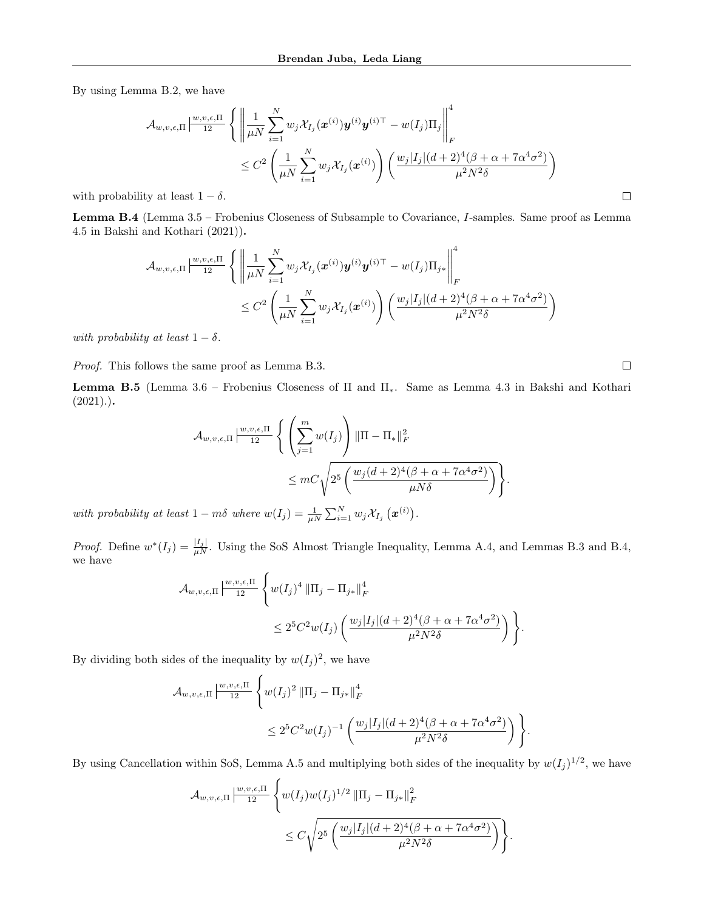By using Lemma B.2, we have

$$
\mathcal{A}_{w,v,\epsilon,\Pi} \left| \frac{w,v,\epsilon,\Pi}{12} \right| \left\{ \left\| \frac{1}{\mu N} \sum_{i=1}^{N} w_j \mathcal{X}_{I_j}(\boldsymbol{x}^{(i)}) \boldsymbol{y}^{(i)} \boldsymbol{y}^{(i)\top} - w(I_j) \Pi_j \right\|_F^4
$$
  
\n
$$
\leq C^2 \left( \frac{1}{\mu N} \sum_{i=1}^{N} w_j \mathcal{X}_{I_j}(\boldsymbol{x}^{(i)}) \right) \left( \frac{w_j |I_j| (d+2)^4 (\beta + \alpha + 7\alpha^4 \sigma^2)}{\mu^2 N^2 \delta} \right)
$$
  
\nty at least  $1 - \delta$ .

with probability at least  $1 - \delta$ .

Lemma B.4 (Lemma 3.5 – Frobenius Closeness of Subsample to Covariance, I-samples. Same proof as Lemma 4.5 in Bakshi and Kothari (2021)).

$$
\mathcal{A}_{w,v,\epsilon,\Pi} \left| \frac{w,v,\epsilon,\Pi}{12} \left\{ \left\| \frac{1}{\mu N} \sum_{i=1}^N w_j \mathcal{X}_{I_j}(\boldsymbol{x}^{(i)}) \boldsymbol{y}^{(i)} \boldsymbol{y}^{(i)\top} - w(I_j) \Pi_{j*} \right\|_F^4 \right|
$$
  

$$
\leq C^2 \left( \frac{1}{\mu N} \sum_{i=1}^N w_j \mathcal{X}_{I_j}(\boldsymbol{x}^{(i)}) \right) \left( \frac{w_j |I_j| (d+2)^4 (\beta + \alpha + 7\alpha^4 \sigma^2)}{\mu^2 N^2 \delta} \right)
$$

with probability at least  $1 - \delta$ .

Proof. This follows the same proof as Lemma B.3.

**Lemma B.5** (Lemma 3.6 – Frobenius Closeness of  $\Pi$  and  $\Pi_*$ . Same as Lemma 4.3 in Bakshi and Kothari  $(2021).$ 

$$
\mathcal{A}_{w,v,\epsilon,\Pi} \left| \frac{w,v,\epsilon,\Pi}{12} \left\{ \left( \sum_{j=1}^m w(I_j) \right) ||\Pi - \Pi_*||_F^2 \right. \\ \leq mC \sqrt{2^5 \left( \frac{w_j(d+2)^4(\beta + \alpha + 7\alpha^4 \sigma^2)}{\mu N \delta} \right)} \right\}.
$$

with probability at least  $1 - m\delta$  where  $w(I_j) = \frac{1}{\mu N} \sum_{i=1}^N w_j \mathcal{X}_{I_j} (\boldsymbol{x}^{(i)})$ .

*Proof.* Define  $w^*(I_j) = \frac{|I_j|}{\mu N}$ . Using the SoS Almost Triangle Inequality, Lemma A.4, and Lemmas B.3 and B.4, we have

$$
\mathcal{A}_{w,v,\epsilon,\Pi} \Big| \frac{w,v,\epsilon,\Pi}{12} \left\{ w(I_j)^4 \left\| \Pi_j - \Pi_{j*} \right\|_F^4
$$
  

$$
\leq 2^5 C^2 w(I_j) \left( \frac{w_j |I_j| (d+2)^4 (\beta + \alpha + 7\alpha^4 \sigma^2)}{\mu^2 N^2 \delta} \right) \right\}.
$$

By dividing both sides of the inequality by  $w(I_j)^2$ , we have

$$
\mathcal{A}_{w,v,\epsilon,\Pi} \Big| \frac{w,v,\epsilon,\Pi}{12} \left\{ w(I_j)^2 \left\| \Pi_j - \Pi_{j*} \right\|_F^4 \Big| \leq 2^5 C^2 w(I_j)^{-1} \left( \frac{w_j |I_j| (d+2)^4 (\beta + \alpha + 7\alpha^4 \sigma^2)}{\mu^2 N^2 \delta} \right) \right\}.
$$

By using Cancellation within SoS, Lemma A.5 and multiplying both sides of the inequality by  $w(I_j)^{1/2}$ , we have

$$
\mathcal{A}_{w,v,\epsilon,\Pi} \Big| \frac{w,v,\epsilon,\Pi}{12} \left\{ w(I_j)w(I_j)^{1/2} \left\| \Pi_j - \Pi_{j*} \right\|_F^2 \right\} \n\leq C \sqrt{2^5 \left( \frac{w_j |I_j| (d+2)^4 (\beta + \alpha + 7\alpha^4 \sigma^2)}{\mu^2 N^2 \delta} \right)} \right\}.
$$

 $\hfill \square$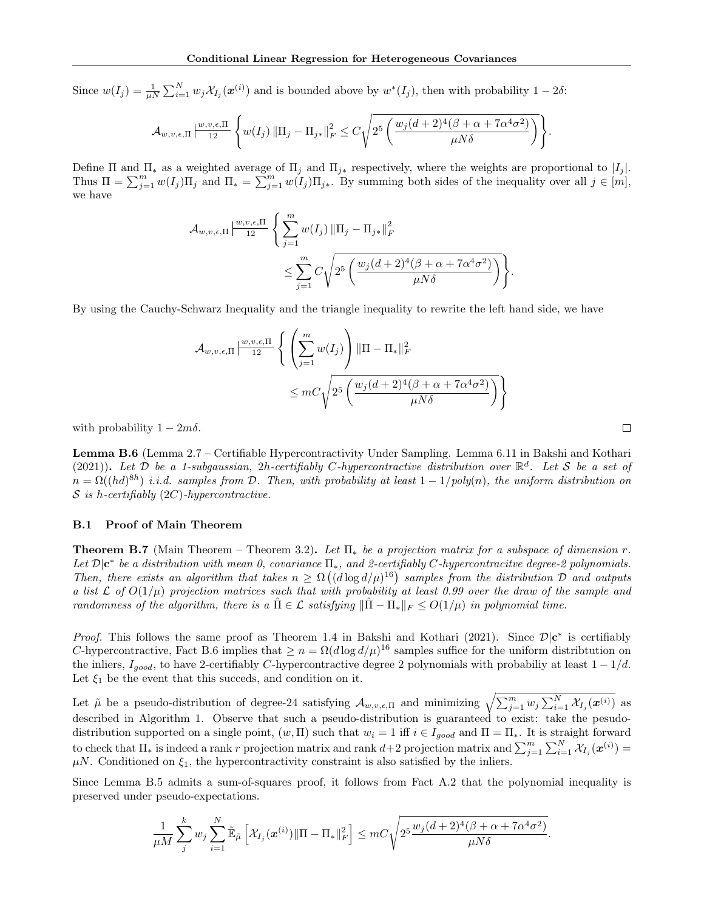Since  $w(I_j) = \frac{1}{\mu N} \sum_{i=1}^N w_j \mathcal{X}_{I_j}(\boldsymbol{x}^{(i)})$  and is bounded above by  $w^*(I_j)$ , then with probability  $1-2\delta$ :

$$
\mathcal{A}_{w,v,\epsilon,\Pi}\left|\frac{w,v,\epsilon,\Pi}{12}\left\{w(I_j)\left\|\Pi_j-\Pi_{j*}\right\|_{F}^2\leq C\sqrt{2^5\left(\frac{w_j(d+2)^4(\beta+\alpha+7\alpha^4\sigma^2)}{\mu N\delta}\right)}\right\}.
$$

Define  $\Pi$  and  $\Pi_*$  as a weighted average of  $\Pi_j$  and  $\Pi_{j*}$  respectively, where the weights are proportional to  $|I_j|$ . Thus  $\Pi = \sum_{j=1}^m w(I_j) \Pi_j$  and  $\Pi_* = \sum_{j=1}^m w(I_j) \Pi_{j*}$ . By summing both sides of the inequality over all  $j \in [m]$ , we have

$$
\mathcal{A}_{w,v,\epsilon,\Pi} \left| \frac{w,v,\epsilon,\Pi}{12} \left\{ \sum_{j=1}^m w(I_j) \left\| \Pi_j - \Pi_{j*} \right\|_F^2 \right\} \n\leq \sum_{j=1}^m C \sqrt{2^5 \left( \frac{w_j (d+2)^4 (\beta + \alpha + 7\alpha^4 \sigma^2)}{\mu N \delta} \right)} \right\}.
$$

By using the Cauchy-Schwarz Inequality and the triangle inequality to rewrite the left hand side, we have

$$
\mathcal{A}_{w,v,\epsilon,\Pi} \left| \frac{w,v,\epsilon,\Pi}{12} \left\{ \left( \sum_{j=1}^m w(I_j) \right) \|\Pi - \Pi_*\|_F^2 \right. \\ \leq mC \sqrt{2^5 \left( \frac{w_j (d+2)^4 (\beta + \alpha + 7\alpha^4 \sigma^2)}{\mu N \delta} \right)} \right\}
$$

with probability  $1 - 2m\delta$ .

Lemma B.6 (Lemma 2.7 – Certifiable Hypercontractivity Under Sampling. Lemma 6.11 in Bakshi and Kothari (2021)). Let  $\hat{\mathcal{D}}$  be a 1-subgaussian, 2h-certifiably C-hypercontractive distribution over  $\mathbb{R}^d$ . Let S be a set of  $n = \Omega((hd)^{8h})$  i.i.d. samples from D. Then, with probability at least  $1 - 1/poly(n)$ , the uniform distribution on  $S$  is h-certifiably (2C)-hypercontractive.

#### B.1 Proof of Main Theorem

**Theorem B.7** (Main Theorem – Theorem 3.2). Let  $\Pi_*$  be a projection matrix for a subspace of dimension r. Let  $\mathcal{D}|\mathbf{c}^*$  be a distribution with mean 0, covariance  $\Pi_*$ , and 2-certifiably C-hypercontracitve degree-2 polynomials. Then, there exists an algorithm that takes  $n \geq \Omega((d \log d/\mu)^{16})$  samples from the distribution  $\mathcal D$  and outputs a list  $\mathcal L$  of  $O(1/\mu)$  projection matrices such that with probability at least 0.99 over the draw of the sample and randomness of the algorithm, there is a  $\hat{\Pi} \in \mathcal{L}$  satisfying  $\|\hat{\Pi} - \Pi_{*}\|_{F} \leq O(1/\mu)$  in polynomial time.

*Proof.* This follows the same proof as Theorem 1.4 in Bakshi and Kothari (2021). Since  $\mathcal{D}|\mathbf{c}^*$  is certifiably C-hypercontractive, Fact B.6 implies that  $\geq n = \Omega(d \log d/\mu)^{16}$  samples suffice for the uniform distribution on the inliers,  $I_{good}$ , to have 2-certifiably C-hypercontractive degree 2 polynomials with probabiliy at least  $1 - 1/d$ . Let  $\xi_1$  be the event that this succeds, and condition on it.

Let  $\tilde{\mu}$  be a pseudo-distribution of degree-24 satisfying  $\mathcal{A}_{w,v,\epsilon,\Pi}$  and minimizing  $\sqrt{\sum_{j=1}^{m} w_j \sum_{i=1}^{N} \mathcal{X}_{I_j}(\boldsymbol{x}^{(i)})}$  as described in Algorithm 1. Observe that such a pseudo-distribution is guaranteed to exist: take the pesudodistribution supported on a single point,  $(w, \Pi)$  such that  $w_i = 1$  iff  $i \in I_{good}$  and  $\Pi = \Pi_*$ . It is straight forward to check that  $\Pi_*$  is indeed a rank r projection matrix and rank  $d+2$  projection matrix and  $\sum_{j=1}^m \sum_{i=1}^N \mathcal{X}_{I_j}(\boldsymbol{x}^{(i)}) =$  $\mu$ N. Conditioned on  $\xi_1$ , the hypercontractivity constraint is also satisfied by the inliers.

Since Lemma B.5 admits a sum-of-squares proof, it follows from Fact A.2 that the polynomial inequality is preserved under pseudo-expectations.

$$
\frac{1}{\mu M} \sum_{j}^{k} w_j \sum_{i=1}^{N} \tilde{\mathbb{E}}_{\tilde{\mu}} \left[ \mathcal{X}_{I_j}(\boldsymbol{x}^{(i)}) \|\Pi - \Pi_*\|_F^2 \right] \leq mC \sqrt{2^5 \frac{w_j(d+2)^4(\beta + \alpha + 7\alpha^4 \sigma^2)}{\mu N \delta}}.
$$

 $\Box$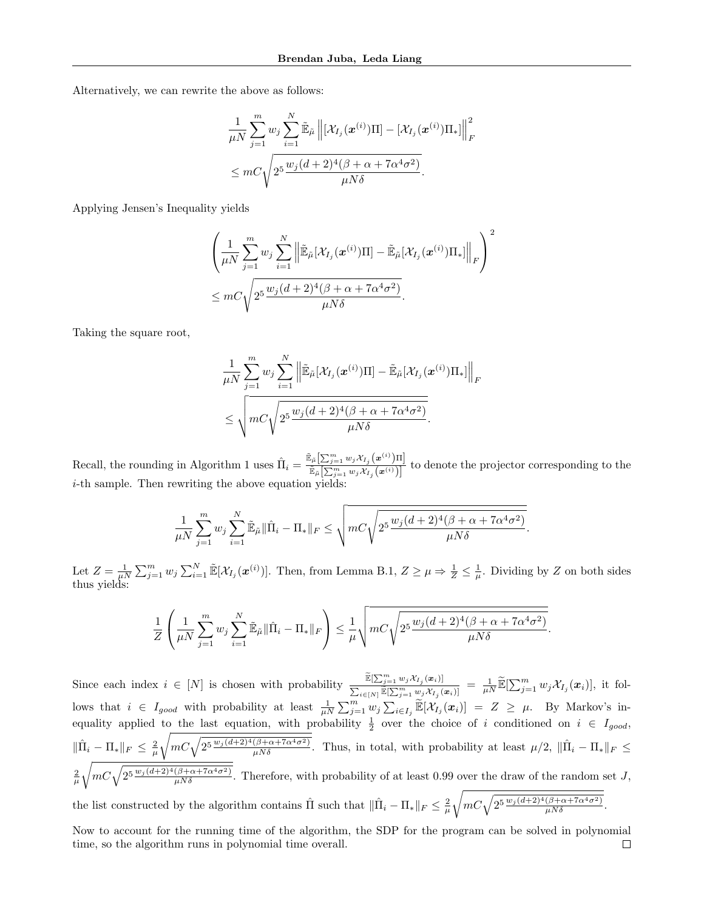Alternatively, we can rewrite the above as follows:

$$
\frac{1}{\mu N} \sum_{j=1}^{m} w_j \sum_{i=1}^{N} \tilde{\mathbb{E}}_{\tilde{\mu}} \left\| \left[ \mathcal{X}_{I_j}(\boldsymbol{x}^{(i)}) \Pi \right] - \left[ \mathcal{X}_{I_j}(\boldsymbol{x}^{(i)}) \Pi_* \right] \right\|_F^2
$$
  

$$
\leq m C \sqrt{2^5 \frac{w_j (d+2)^4 (\beta + \alpha + 7\alpha^4 \sigma^2)}{\mu N \delta}}.
$$

Applying Jensen's Inequality yields

$$
\left(\frac{1}{\mu N}\sum_{j=1}^m w_j \sum_{i=1}^N \left\|\widetilde{\mathbb{E}}_{\tilde{\mu}}[\mathcal{X}_{I_j}(\boldsymbol{x}^{(i)})\Pi] - \widetilde{\mathbb{E}}_{\tilde{\mu}}[\mathcal{X}_{I_j}(\boldsymbol{x}^{(i)})\Pi_*]\right\|_F\right)^2
$$
  

$$
\leq mC\sqrt{2^5\frac{w_j(d+2)^4(\beta+\alpha+7\alpha^4\sigma^2)}{\mu N\delta}}.
$$

Taking the square root,

$$
\frac{1}{\mu N} \sum_{j=1}^{m} w_j \sum_{i=1}^{N} \left\| \tilde{\mathbb{E}}_{\tilde{\mu}}[\mathcal{X}_{I_j}(\boldsymbol{x}^{(i)}) \Pi] - \tilde{\mathbb{E}}_{\tilde{\mu}}[\mathcal{X}_{I_j}(\boldsymbol{x}^{(i)}) \Pi_*] \right\|_F
$$
  

$$
\leq \sqrt{mC \sqrt{2^5 \frac{w_j(d+2)^4(\beta + \alpha + 7\alpha^4 \sigma^2)}{\mu N \delta}}.
$$

Recall, the rounding in Algorithm 1 uses  $\hat{\Pi}_i = \frac{\tilde{\mathbb{E}}_{\tilde{\mu}}\left[\sum_{j=1}^m w_j \mathcal{X}_{I_j}(\boldsymbol{x}^{(i)})\Pi\right]}{\tilde{\mathbb{E}}\left[\sum_{j=1}^m w_j \mathcal{X}_{I_j}(\boldsymbol{x}^{(i)})\Pi\right]}$  $\frac{\mathbb{E}_{\tilde{\mu}}[\sum_{j=1}^m w_j \lambda_{I_j}(\boldsymbol{x}^{(i)})]}{\mathbb{E}_{\tilde{\mu}}[\sum_{j=1}^m w_j \lambda_{I_j}(\boldsymbol{x}^{(i)})]}$  to denote the projector corresponding to the  $i$ -th sample. Then rewriting the above equation yields:

$$
\frac{1}{\mu N} \sum_{j=1}^m w_j \sum_{i=1}^N \tilde{\mathbb{E}}_{\tilde{\mu}} ||\hat{\Pi}_i - \Pi_*||_F \le \sqrt{mC\sqrt{2^5 \frac{w_j(d+2)^4(\beta+\alpha+7\alpha^4\sigma^2)}{\mu N\delta}}}.
$$

Let  $Z = \frac{1}{\mu N} \sum_{j=1}^{m} w_j \sum_{i=1}^{N} \mathbb{E}[\mathcal{X}_{I_j}(\boldsymbol{x}^{(i)})]$ . Then, from Lemma B.1,  $Z \geq \mu \Rightarrow \frac{1}{Z} \leq \frac{1}{\mu}$ . Dividing by Z on both sides thus yields:

$$
\frac{1}{Z}\left(\frac{1}{\mu N}\sum_{j=1}^m w_j \sum_{i=1}^N \tilde{\mathbb{E}}_{\tilde{\mu}} \|\hat{\Pi}_i - \Pi_*\|_F\right) \leq \frac{1}{\mu} \sqrt{mC\sqrt{2^5 \frac{w_j(d+2)^4(\beta+\alpha+7\alpha^4\sigma^2)}{\mu N\delta}}}.
$$

Since each index  $i \in [N]$  is chosen with probability  $\frac{\widetilde{\mathbb{E}}[\sum_{j=1}^{m} w_j \mathcal{X}_{I_j}(x_i)]}{\widetilde{\mathbb{E}}[\sum_{j=1}^{m} w_j \mathcal{X}_{I_j}(x_i)]}$  $\frac{\mathbb{E}[\sum_{j=1}^m w_j \mathcal{X}_{I_j}(\bm{x}_i)]}{\sum_{i\in [N]} \overline{\mathbb{E}}[\sum_{j=1}^m w_j \mathcal{X}_{I_j}(\bm{x}_i)]} \;=\; \frac{1}{\mu N} \widetilde{\mathbb{E}}[\sum_{j=1}^m w_j \mathcal{X}_{I_j}(\bm{x}_i)], \text{ it fol-}$ lows that  $i \in I_{good}$  with probability at least  $\frac{1}{\mu N} \sum_{j=1}^m w_j \sum_{i \in I_j} \widetilde{\mathbb{E}}[\mathcal{X}_{I_j}(\boldsymbol{x}_i)] = Z \geq \mu$ . By Markov's inequality applied to the last equation, with probability  $\frac{1}{2}$  over the choice of i conditioned on  $i \in I_{good}$ ,  $\|\hat{\Pi}_i - \Pi_*\|_F \leq \frac{2}{\mu}$  $\sqrt{mC\sqrt{2^{5\frac{w_j(d+2)^4(\beta+\alpha+7\alpha^4\sigma^2)}{\mu N\delta}}}$ . Thus, in total, with probability at least  $\mu/2$ ,  $\|\hat{\Pi}_i - \Pi_*\|_F \le$  $\frac{2}{\mu}$  $\sqrt{mC\sqrt{2^{5}\frac{w_j(d+2)^4(\beta+\alpha+7\alpha^4\sigma^2)}{\mu N\delta}}}$ . Therefore, with probability of at least 0.99 over the draw of the random set J, the list constructed by the algorithm contains  $\hat{\Pi}$  such that  $\|\hat{\Pi}_i - \Pi_*\|_F \leq \frac{2}{\mu}$  $\sqrt{mC\sqrt{2^{5}\frac{w_j(d+2)^4(\beta+\alpha+7\alpha^4\sigma^2)}{\mu N\delta}}}$ .

Now to account for the running time of the algorithm, the SDP for the program can be solved in polynomial time, so the algorithm runs in polynomial time overall. $\Box$